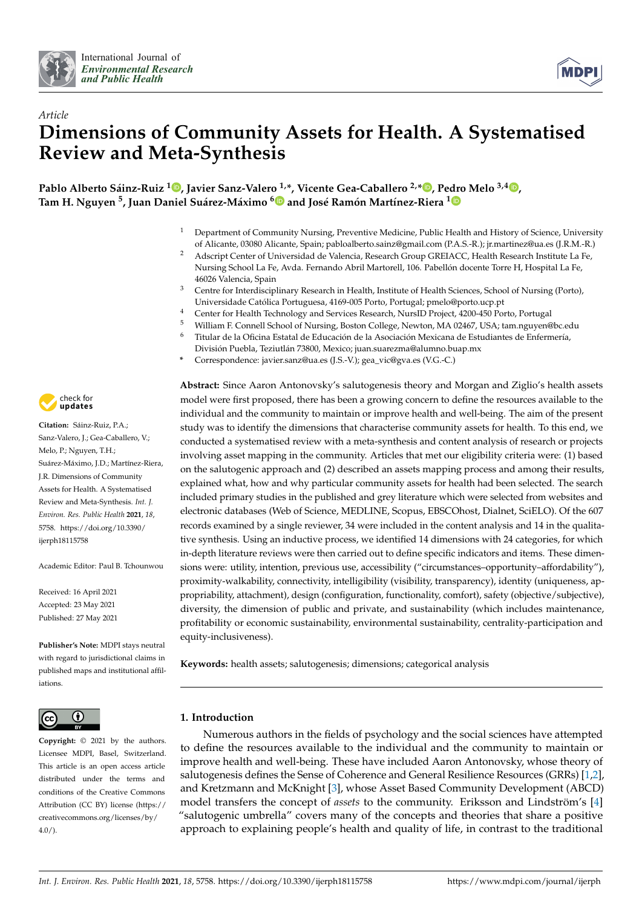



# *Article* **Dimensions of Community Assets for Health. A Systematised Review and Meta-Synthesis**

**Pablo Alberto Sáinz-Ruiz <sup>1</sup> [,](https://orcid.org/0000-0002-6450-3980) Javier Sanz-Valero 1,\*, Vicente Gea-Caballero 2,\* [,](https://orcid.org/0000-0001-8607-3195) Pedro Melo 3,4 [,](https://orcid.org/0000-0002-0005-6384) Tam H. Nguyen <sup>5</sup> , Juan Daniel Suárez-Máximo [6](https://orcid.org/0000-0001-5687-2543) and José Ramón Martínez-Riera [1](https://orcid.org/0000-0002-4926-6622)**

- <sup>1</sup> Department of Community Nursing, Preventive Medicine, Public Health and History of Science, University of Alicante, 03080 Alicante, Spain; pabloalberto.sainz@gmail.com (P.A.S.-R.); jr.martinez@ua.es (J.R.M.-R.)
- <sup>2</sup> Adscript Center of Universidad de Valencia, Research Group GREIACC, Health Research Institute La Fe, Nursing School La Fe, Avda. Fernando Abril Martorell, 106. Pabellón docente Torre H, Hospital La Fe, 46026 Valencia, Spain
- <sup>3</sup> Centre for Interdisciplinary Research in Health, Institute of Health Sciences, School of Nursing (Porto), Universidade Católica Portuguesa, 4169-005 Porto, Portugal; pmelo@porto.ucp.pt
- <sup>4</sup> Center for Health Technology and Services Research, NursID Project, 4200-450 Porto, Portugal
- <sup>5</sup> William F. Connell School of Nursing, Boston College, Newton, MA 02467, USA; tam.nguyen@bc.edu<br><sup>6</sup> Titular de la Oficina Estatal de Educación de la Asociación Mexicana de Estudiantes de Enfermería
- <sup>6</sup> Titular de la Oficina Estatal de Educación de la Asociación Mexicana de Estudiantes de Enfermería,
- División Puebla, Teziutlán 73800, Mexico; juan.suarezma@alumno.buap.mx
- **\*** Correspondence: javier.sanz@ua.es (J.S.-V.); gea\_vic@gva.es (V.G.-C.)

**Abstract:** Since Aaron Antonovsky's salutogenesis theory and Morgan and Ziglio's health assets model were first proposed, there has been a growing concern to define the resources available to the individual and the community to maintain or improve health and well-being. The aim of the present study was to identify the dimensions that characterise community assets for health. To this end, we conducted a systematised review with a meta-synthesis and content analysis of research or projects involving asset mapping in the community. Articles that met our eligibility criteria were: (1) based on the salutogenic approach and (2) described an assets mapping process and among their results, explained what, how and why particular community assets for health had been selected. The search included primary studies in the published and grey literature which were selected from websites and electronic databases (Web of Science, MEDLINE, Scopus, EBSCOhost, Dialnet, SciELO). Of the 607 records examined by a single reviewer, 34 were included in the content analysis and 14 in the qualitative synthesis. Using an inductive process, we identified 14 dimensions with 24 categories, for which in-depth literature reviews were then carried out to define specific indicators and items. These dimensions were: utility, intention, previous use, accessibility ("circumstances–opportunity–affordability"), proximity-walkability, connectivity, intelligibility (visibility, transparency), identity (uniqueness, appropriability, attachment), design (configuration, functionality, comfort), safety (objective/subjective), diversity, the dimension of public and private, and sustainability (which includes maintenance, profitability or economic sustainability, environmental sustainability, centrality-participation and equity-inclusiveness).

**Keywords:** health assets; salutogenesis; dimensions; categorical analysis

# **1. Introduction**

Numerous authors in the fields of psychology and the social sciences have attempted to define the resources available to the individual and the community to maintain or improve health and well-being. These have included Aaron Antonovsky, whose theory of salutogenesis defines the Sense of Coherence and General Resilience Resources (GRRs) [\[1](#page-15-0)[,2\]](#page-15-1), and Kretzmann and McKnight [\[3\]](#page-15-2), whose Asset Based Community Development (ABCD) model transfers the concept of *assets* to the community. Eriksson and Lindström's [\[4\]](#page-15-3) "salutogenic umbrella" covers many of the concepts and theories that share a positive approach to explaining people's health and quality of life, in contrast to the traditional



**Citation:** Sáinz-Ruiz, P.A.; Sanz-Valero, J.; Gea-Caballero, V.; Melo, P.; Nguyen, T.H.; Suárez-Máximo, J.D.; Martínez-Riera, J.R. Dimensions of Community Assets for Health. A Systematised Review and Meta-Synthesis. *Int. J. Environ. Res. Public Health* **2021**, *18*, 5758. [https://doi.org/10.3390/](https://doi.org/10.3390/ijerph18115758) [ijerph18115758](https://doi.org/10.3390/ijerph18115758)

Academic Editor: Paul B. Tchounwou

Received: 16 April 2021 Accepted: 23 May 2021 Published: 27 May 2021

**Publisher's Note:** MDPI stays neutral with regard to jurisdictional claims in published maps and institutional affiliations.



**Copyright:** © 2021 by the authors. Licensee MDPI, Basel, Switzerland. This article is an open access article distributed under the terms and conditions of the Creative Commons Attribution (CC BY) license (https:/[/](https://creativecommons.org/licenses/by/4.0/) [creativecommons.org/licenses/by/](https://creativecommons.org/licenses/by/4.0/)  $4.0/$ ).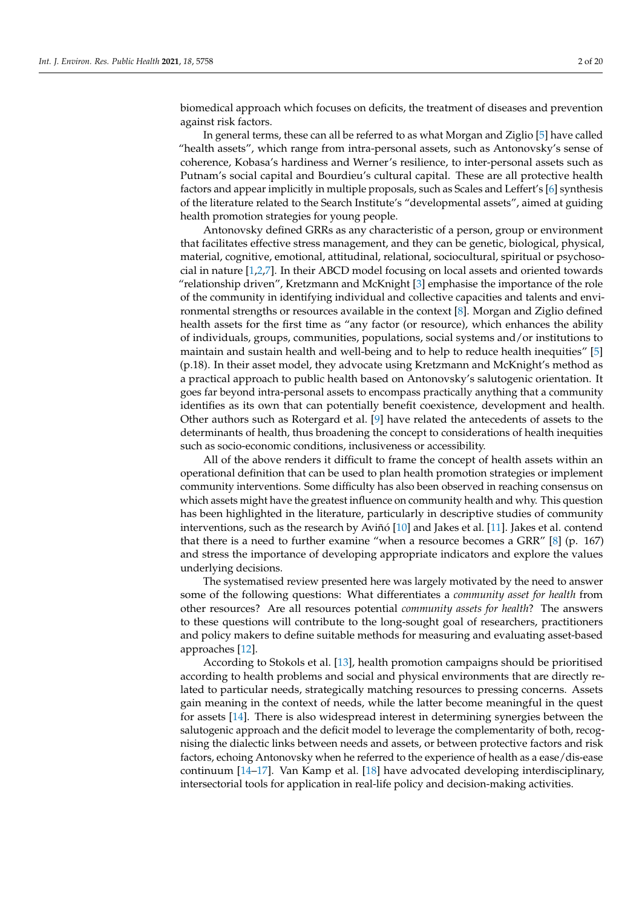biomedical approach which focuses on deficits, the treatment of diseases and prevention against risk factors.

In general terms, these can all be referred to as what Morgan and Ziglio [\[5\]](#page-15-4) have called "health assets", which range from intra-personal assets, such as Antonovsky's sense of coherence, Kobasa's hardiness and Werner's resilience, to inter-personal assets such as Putnam's social capital and Bourdieu's cultural capital. These are all protective health factors and appear implicitly in multiple proposals, such as Scales and Leffert's [\[6\]](#page-15-5) synthesis of the literature related to the Search Institute's "developmental assets", aimed at guiding health promotion strategies for young people.

Antonovsky defined GRRs as any characteristic of a person, group or environment that facilitates effective stress management, and they can be genetic, biological, physical, material, cognitive, emotional, attitudinal, relational, sociocultural, spiritual or psychosocial in nature [\[1,](#page-15-0)[2,](#page-15-1)[7\]](#page-15-6). In their ABCD model focusing on local assets and oriented towards "relationship driven", Kretzmann and McKnight [\[3\]](#page-15-2) emphasise the importance of the role of the community in identifying individual and collective capacities and talents and environmental strengths or resources available in the context [\[8\]](#page-15-7). Morgan and Ziglio defined health assets for the first time as "any factor (or resource), which enhances the ability of individuals, groups, communities, populations, social systems and/or institutions to maintain and sustain health and well-being and to help to reduce health inequities" [\[5\]](#page-15-4) (p.18). In their asset model, they advocate using Kretzmann and McKnight's method as a practical approach to public health based on Antonovsky's salutogenic orientation. It goes far beyond intra-personal assets to encompass practically anything that a community identifies as its own that can potentially benefit coexistence, development and health. Other authors such as Rotergard et al. [\[9\]](#page-15-8) have related the antecedents of assets to the determinants of health, thus broadening the concept to considerations of health inequities such as socio-economic conditions, inclusiveness or accessibility.

All of the above renders it difficult to frame the concept of health assets within an operational definition that can be used to plan health promotion strategies or implement community interventions. Some difficulty has also been observed in reaching consensus on which assets might have the greatest influence on community health and why. This question has been highlighted in the literature, particularly in descriptive studies of community interventions, such as the research by Aviñó [\[10\]](#page-15-9) and Jakes et al. [\[11\]](#page-15-10). Jakes et al. contend that there is a need to further examine "when a resource becomes a GRR" [\[8\]](#page-15-7) (p. 167) and stress the importance of developing appropriate indicators and explore the values underlying decisions.

The systematised review presented here was largely motivated by the need to answer some of the following questions: What differentiates a *community asset for health* from other resources? Are all resources potential *community assets for health*? The answers to these questions will contribute to the long-sought goal of researchers, practitioners and policy makers to define suitable methods for measuring and evaluating asset-based approaches [\[12\]](#page-16-0).

According to Stokols et al. [\[13\]](#page-16-1), health promotion campaigns should be prioritised according to health problems and social and physical environments that are directly related to particular needs, strategically matching resources to pressing concerns. Assets gain meaning in the context of needs, while the latter become meaningful in the quest for assets [\[14\]](#page-16-2). There is also widespread interest in determining synergies between the salutogenic approach and the deficit model to leverage the complementarity of both, recognising the dialectic links between needs and assets, or between protective factors and risk factors, echoing Antonovsky when he referred to the experience of health as a ease/dis-ease continuum [\[14](#page-16-2)[–17\]](#page-16-3). Van Kamp et al. [\[18\]](#page-16-4) have advocated developing interdisciplinary, intersectorial tools for application in real-life policy and decision-making activities.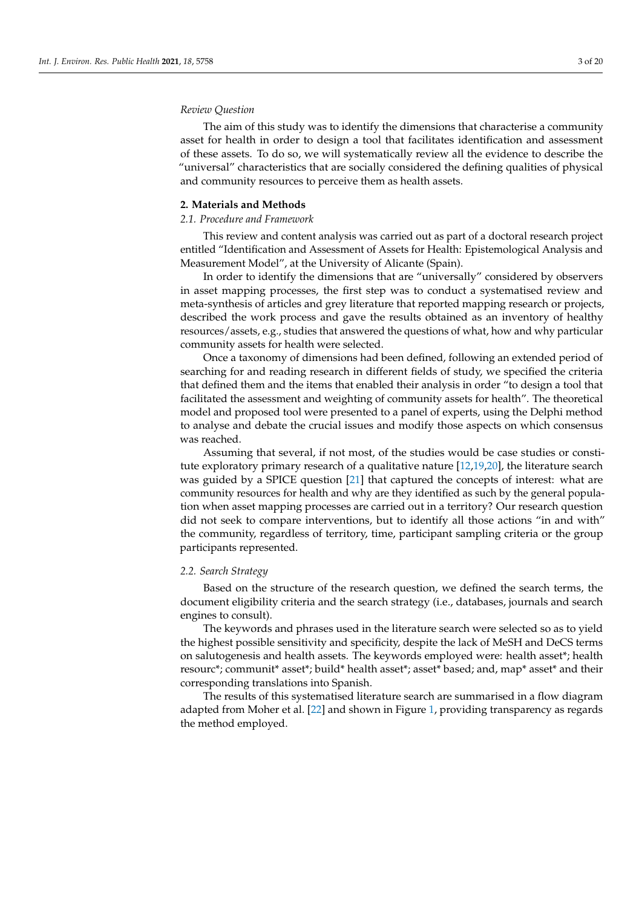# *Review Question*

The aim of this study was to identify the dimensions that characterise a community asset for health in order to design a tool that facilitates identification and assessment of these assets. To do so, we will systematically review all the evidence to describe the "universal" characteristics that are socially considered the defining qualities of physical and community resources to perceive them as health assets.

#### **2. Materials and Methods**

#### *2.1. Procedure and Framework*

This review and content analysis was carried out as part of a doctoral research project entitled "Identification and Assessment of Assets for Health: Epistemological Analysis and Measurement Model", at the University of Alicante (Spain).

In order to identify the dimensions that are "universally" considered by observers in asset mapping processes, the first step was to conduct a systematised review and meta-synthesis of articles and grey literature that reported mapping research or projects, described the work process and gave the results obtained as an inventory of healthy resources/assets, e.g., studies that answered the questions of what, how and why particular community assets for health were selected.

Once a taxonomy of dimensions had been defined, following an extended period of searching for and reading research in different fields of study, we specified the criteria that defined them and the items that enabled their analysis in order "to design a tool that facilitated the assessment and weighting of community assets for health". The theoretical model and proposed tool were presented to a panel of experts, using the Delphi method to analyse and debate the crucial issues and modify those aspects on which consensus was reached.

Assuming that several, if not most, of the studies would be case studies or constitute exploratory primary research of a qualitative nature [\[12,](#page-16-0)[19,](#page-16-5)[20\]](#page-16-6), the literature search was guided by a SPICE question [\[21\]](#page-16-7) that captured the concepts of interest: what are community resources for health and why are they identified as such by the general population when asset mapping processes are carried out in a territory? Our research question did not seek to compare interventions, but to identify all those actions "in and with" the community, regardless of territory, time, participant sampling criteria or the group participants represented.

# *2.2. Search Strategy*

Based on the structure of the research question, we defined the search terms, the document eligibility criteria and the search strategy (i.e., databases, journals and search engines to consult).

The keywords and phrases used in the literature search were selected so as to yield the highest possible sensitivity and specificity, despite the lack of MeSH and DeCS terms on salutogenesis and health assets. The keywords employed were: health asset\*; health resourc\*; communit\* asset\*; build\* health asset\*; asset\* based; and, map\* asset\* and their corresponding translations into Spanish.

The results of this systematised literature search are summarised in a flow diagram adapted from Moher et al. [\[22\]](#page-16-8) and shown in Figure [1,](#page-3-0) providing transparency as regards the method employed.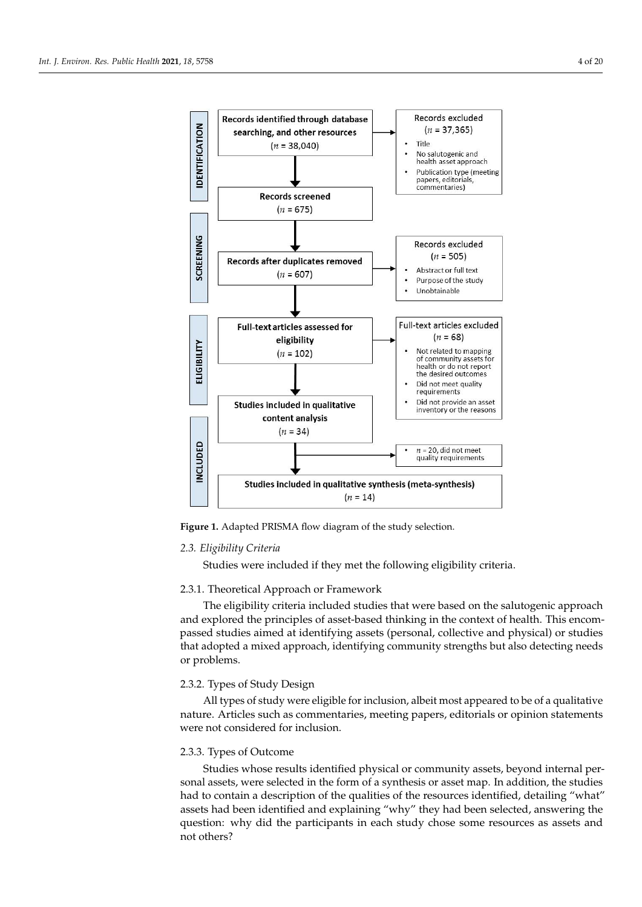<span id="page-3-0"></span>

**Figure 1.** Adapted PRISMA flow diagram of the study selection **Figure 1.** Adapted PRISMA flow diagram of the study selection.

# *2.3. Eligibility Criteria 2.3. Eligibility Criteria*

Studies were included if they met the following eligibility criteria: Studies were included if they met the following eligibility criteria.

# 2.3.1. Theoretical Approach or Framework 2.3.1. Theoretical Approach or Framework

The eligibility criteria included studies that were based on the salutogenic approach The eligibility criteria included studies that were based on the salutogenic approach and explored the principles of asset-based thinking in the context of health. This encom-and explored the principles of asset-based thinking in the context of health. This encompassed studies aimed at identifying assets (personal, collective and physical) or studies passed studies aimed at identifying assets (personal, collective and physical) or studies that adopted a mixed approach, identifying community strengths but also detecting needs that adopted a mixed approach, identifying community strengths but also detecting needs or problems. or problems.

# 2.3.2. Types of Study Design 2.3.2. Types of Study Design

 $\frac{1}{\sqrt{2}}$  types of study were eighted for inclusivity inclusively appeared to be of a qualitative nature. Articles such as commentaries, meeting papers, editorials or opinion statements<br>uses not considered for inclusion ments were not considered for inclusion. were not considered for inclusion. All types of study were eligible for inclusion, albeit most appeared to be of a qualitative

# 2.3.3. Types of Outcome

51.3.3.3.3.3.3.3. Studies whose results identified physical or community assets, beyond internal personal assets, were selected in the form of a synthesis or asset map. In addition, the studies had to contain a description of the qualities of the resources identified, detailing "what" assets had been identified and explaining "why" they had been selected, answering the question: why did the participants in each study chose some resources as assets and question: why did the participants in each study chose some resources as assets and not not others?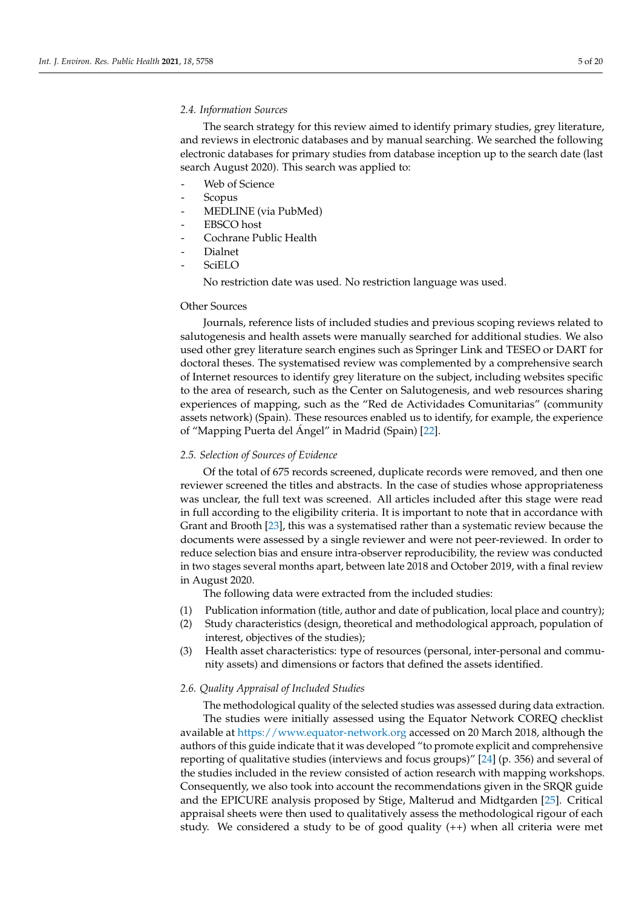# *2.4. Information Sources*

The search strategy for this review aimed to identify primary studies, grey literature, and reviews in electronic databases and by manual searching. We searched the following electronic databases for primary studies from database inception up to the search date (last search August 2020). This search was applied to:

- Web of Science
- Scopus
- MEDLINE (via PubMed)
- EBSCO host
- Cochrane Public Health
- Dialnet
- **SciELO**

No restriction date was used. No restriction language was used.

#### Other Sources

Journals, reference lists of included studies and previous scoping reviews related to salutogenesis and health assets were manually searched for additional studies. We also used other grey literature search engines such as Springer Link and TESEO or DART for doctoral theses. The systematised review was complemented by a comprehensive search of Internet resources to identify grey literature on the subject, including websites specific to the area of research, such as the Center on Salutogenesis, and web resources sharing experiences of mapping, such as the "Red de Actividades Comunitarias" (community assets network) (Spain). These resources enabled us to identify, for example, the experience of "Mapping Puerta del Ángel" in Madrid (Spain) [\[22\]](#page-16-8).

# *2.5. Selection of Sources of Evidence*

Of the total of 675 records screened, duplicate records were removed, and then one reviewer screened the titles and abstracts. In the case of studies whose appropriateness was unclear, the full text was screened. All articles included after this stage were read in full according to the eligibility criteria. It is important to note that in accordance with Grant and Brooth [\[23\]](#page-16-9), this was a systematised rather than a systematic review because the documents were assessed by a single reviewer and were not peer-reviewed. In order to reduce selection bias and ensure intra-observer reproducibility, the review was conducted in two stages several months apart, between late 2018 and October 2019, with a final review in August 2020.

The following data were extracted from the included studies:

- (1) Publication information (title, author and date of publication, local place and country);
- (2) Study characteristics (design, theoretical and methodological approach, population of interest, objectives of the studies);
- (3) Health asset characteristics: type of resources (personal, inter-personal and community assets) and dimensions or factors that defined the assets identified.

# *2.6. Quality Appraisal of Included Studies*

The methodological quality of the selected studies was assessed during data extraction. The studies were initially assessed using the Equator Network COREQ checklist available at <https://www.equator-network.org> accessed on 20 March 2018, although the authors of this guide indicate that it was developed "to promote explicit and comprehensive reporting of qualitative studies (interviews and focus groups)" [\[24\]](#page-16-10) (p. 356) and several of the studies included in the review consisted of action research with mapping workshops. Consequently, we also took into account the recommendations given in the SRQR guide and the EPICURE analysis proposed by Stige, Malterud and Midtgarden [\[25\]](#page-16-11). Critical appraisal sheets were then used to qualitatively assess the methodological rigour of each study. We considered a study to be of good quality (++) when all criteria were met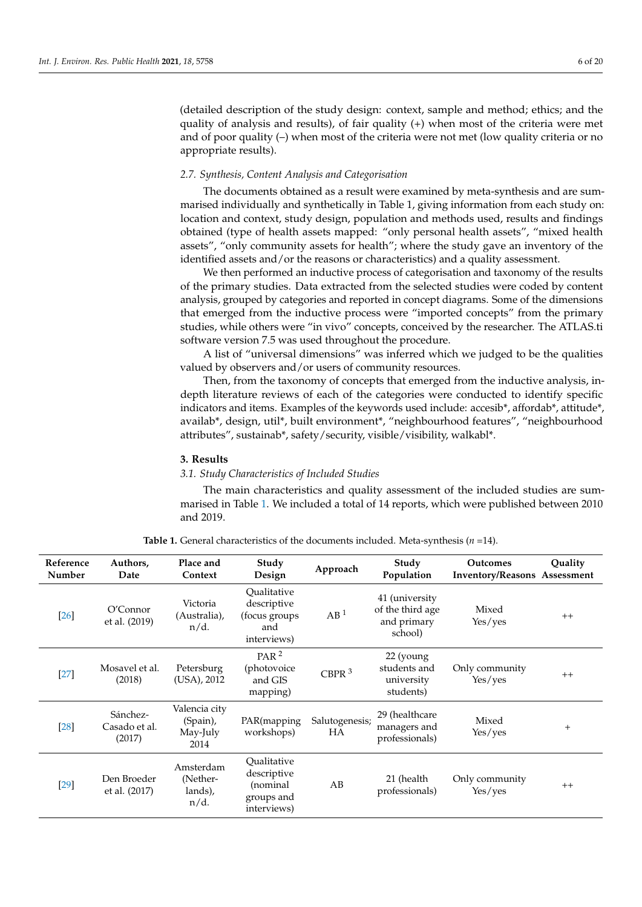(detailed description of the study design: context, sample and method; ethics; and the quality of analysis and results), of fair quality (+) when most of the criteria were met and of poor quality (–) when most of the criteria were not met (low quality criteria or no appropriate results).

# *2.7. Synthesis, Content Analysis and Categorisation*

The documents obtained as a result were examined by meta-synthesis and are summarised individually and synthetically in Table 1, giving information from each study on: location and context, study design, population and methods used, results and findings obtained (type of health assets mapped: "only personal health assets", "mixed health assets", "only community assets for health"; where the study gave an inventory of the identified assets and/or the reasons or characteristics) and a quality assessment.

We then performed an inductive process of categorisation and taxonomy of the results of the primary studies. Data extracted from the selected studies were coded by content analysis, grouped by categories and reported in concept diagrams. Some of the dimensions that emerged from the inductive process were "imported concepts" from the primary studies, while others were "in vivo" concepts, conceived by the researcher. The ATLAS.ti software version 7.5 was used throughout the procedure.

A list of "universal dimensions" was inferred which we judged to be the qualities valued by observers and/or users of community resources.

Then, from the taxonomy of concepts that emerged from the inductive analysis, indepth literature reviews of each of the categories were conducted to identify specific indicators and items. Examples of the keywords used include: accesib\*, affordab\*, attitude\*, availab\*, design, util\*, built environment\*, "neighbourhood features", "neighbourhood attributes", sustainab\*, safety/security, visible/visibility, walkabl\*.

# **3. Results**

#### *3.1. Study Characteristics of Included Studies*

The main characteristics and quality assessment of the included studies are summarised in Table [1.](#page-6-0) We included a total of 14 reports, which were published between 2010 and 2019.

| Reference<br>Number | Authors,<br>Date                    | Place and<br>Context                          | Study<br>Design                                                     | Approach             | Study<br>Population                                          | <b>Outcomes</b><br><b>Inventory/Reasons Assessment</b> | Quality      |
|---------------------|-------------------------------------|-----------------------------------------------|---------------------------------------------------------------------|----------------------|--------------------------------------------------------------|--------------------------------------------------------|--------------|
| $[26]$              | O'Connect<br>et al. (2019)          | Victoria<br>(Australia),<br>$n/d$ .           | Oualitative<br>descriptive<br>(focus groups<br>and<br>interviews)   | AB <sup>1</sup>      | 41 (university<br>of the third age<br>and primary<br>school) | Mixed<br>Yes/yes                                       | $++$         |
| $[27]$              | Mosavel et al.<br>(2018)            | Petersburg<br>(USA), 2012                     | PAR $^2$<br>(photovoice)<br>and GIS<br>mapping)                     | CBPR $3$             | 22 (young<br>students and<br>university<br>students)         | Only community<br>Yes/yes                              | $++$         |
| $[28]$              | Sánchez-<br>Casado et al.<br>(2017) | Valencia city<br>(Spain),<br>May-July<br>2014 | PAR(mapping<br>workshops)                                           | Salutogenesis;<br>HA | 29 (healthcare<br>managers and<br>professionals)             | Mixed<br>Yes/yes                                       | $\mathrm{+}$ |
| $[29]$              | Den Broeder<br>et al. (2017)        | Amsterdam<br>(Nether-<br>lands),<br>$n/d$ .   | Oualitative<br>descriptive<br>(nominal<br>groups and<br>interviews) | AB                   | 21 (health<br>professionals)                                 | Only community<br>Yes/yes                              | $++$         |

**Table 1.** General characteristics of the documents included. Meta-synthesis (*n* =14).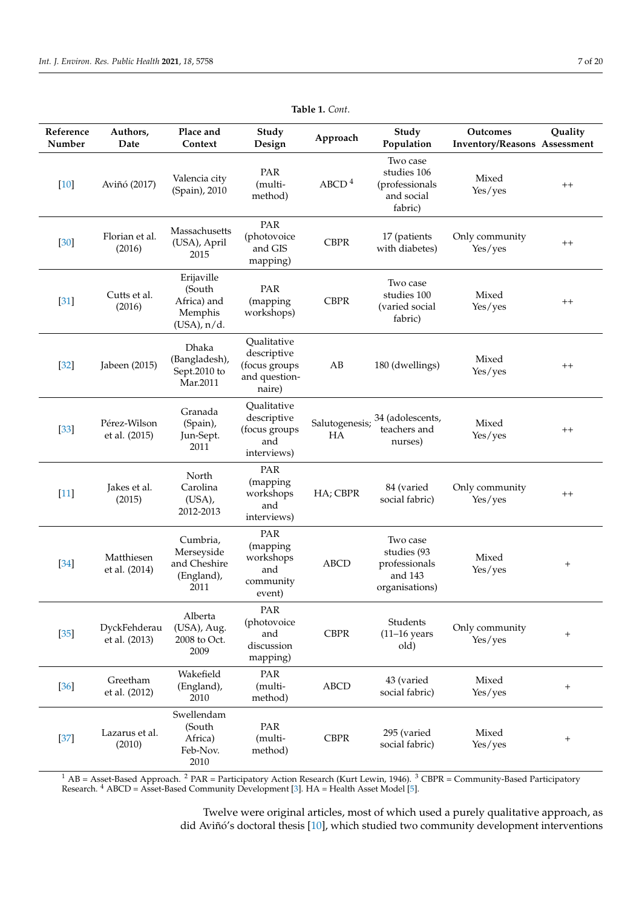<span id="page-6-0"></span>

| Reference<br>Number | Authors,<br>Date              | Place and<br>Context                                                | Study<br>Design                                                        | Approach             | Study<br>Population                                                   | Outcomes<br><b>Inventory/Reasons Assessment</b> | Quality          |
|---------------------|-------------------------------|---------------------------------------------------------------------|------------------------------------------------------------------------|----------------------|-----------------------------------------------------------------------|-------------------------------------------------|------------------|
| $[10]$              | Aviñó (2017)                  | Valencia city<br>(Spain), 2010                                      | PAR<br>(multi-<br>method)                                              | ABCD <sup>4</sup>    | Two case<br>studies 106<br>(professionals<br>and social<br>fabric)    | Mixed<br>Yes/yes                                | $^{++}$          |
| $[30]$              | Florian et al.<br>(2016)      | Massachusetts<br>(USA), April<br>2015                               | PAR<br>(photovoice<br>and GIS<br>mapping)                              | <b>CBPR</b>          | 17 (patients<br>with diabetes)                                        | Only community<br>Yes/yes                       | $^{++}$          |
| $[31]$              | Cutts et al.<br>(2016)        | Erijaville<br>(South<br>Africa) and<br>Memphis<br>$(USA)$ , $n/d$ . | PAR<br>(mapping)<br>workshops)                                         | <b>CBPR</b>          | Two case<br>studies 100<br>(varied social<br>fabric)                  | Mixed<br>Yes/yes                                | $^{++}$          |
| $[32]$              | Jabeen (2015)                 | Dhaka<br>(Bangladesh),<br>Sept.2010 to<br>Mar.2011                  | Qualitative<br>descriptive<br>(focus groups<br>and question-<br>naire) | AB                   | 180 (dwellings)                                                       | Mixed<br>Yes/yes                                | $^{\mathrm{++}}$ |
| $[33]$              | Pérez-Wilson<br>et al. (2015) | Granada<br>(Spain),<br>Jun-Sept.<br>2011                            | Qualitative<br>descriptive<br>(focus groups<br>and<br>interviews)      | Salutogenesis;<br>HА | 34 (adolescents,<br>teachers and<br>nurses)                           | Mixed<br>Yes/yes                                | $^{++}$          |
| $[11]$              | Jakes et al.<br>(2015)        | North<br>Carolina<br>$(USA)$ ,<br>2012-2013                         | PAR<br>(mapping<br>workshops<br>and<br>interviews)                     | HA; CBPR             | 84 (varied<br>social fabric)                                          | Only community<br>Yes/yes                       | $^{++}$          |
| [34]                | Matthiesen<br>et al. (2014)   | Cumbria,<br>Merseyside<br>and Cheshire<br>(England),<br>2011        | PAR<br>(mapping<br>workshops<br>and<br>community<br>event)             | <b>ABCD</b>          | Two case<br>studies (93<br>professionals<br>and 143<br>organisations) | Mixed<br>Yes/yes                                | $^{+}$           |
| $[35]$              | DyckFehderau<br>et al. (2013) | Alberta<br>(USA), Aug.<br>2008 to Oct.<br>2009                      | PAR<br>(photovoice<br>and<br>discussion<br>mapping)                    | <b>CBPR</b>          | Students<br>$(11-16$ years<br>old)                                    | Only community<br>Yes/yes                       | $+$              |
| $[36]$              | Greetham<br>et al. (2012)     | Wakefield<br>(England),<br>2010                                     | PAR<br>(multi-<br>method)                                              | ABCD                 | 43 (varied<br>social fabric)                                          | Mixed<br>Yes/yes                                | $^+$             |
| $[37]$              | Lazarus et al.<br>(2010)      | Swellendam<br>(South<br>Africa)<br>Feb-Nov.<br>2010                 | PAR<br>(multi-<br>method)                                              | <b>CBPR</b>          | 295 (varied<br>social fabric)                                         | Mixed<br>Yes/yes                                | $^{+}$           |

**Table 1.** *Cont*.

 $1$  AB = Asset-Based Approach. <sup>2</sup> PAR = Participatory Action Research (Kurt Lewin, 1946). <sup>3</sup> CBPR = Community-Based Participatory Research. <sup>4</sup> ABCD = Asset-Based Community Development [\[3\]](#page-15-2). HA = Health Asset Model [\[5\]](#page-15-4).

> Twelve were original articles, most of which used a purely qualitative approach, as did Aviñó's doctoral thesis [\[10\]](#page-15-9), which studied two community development interventions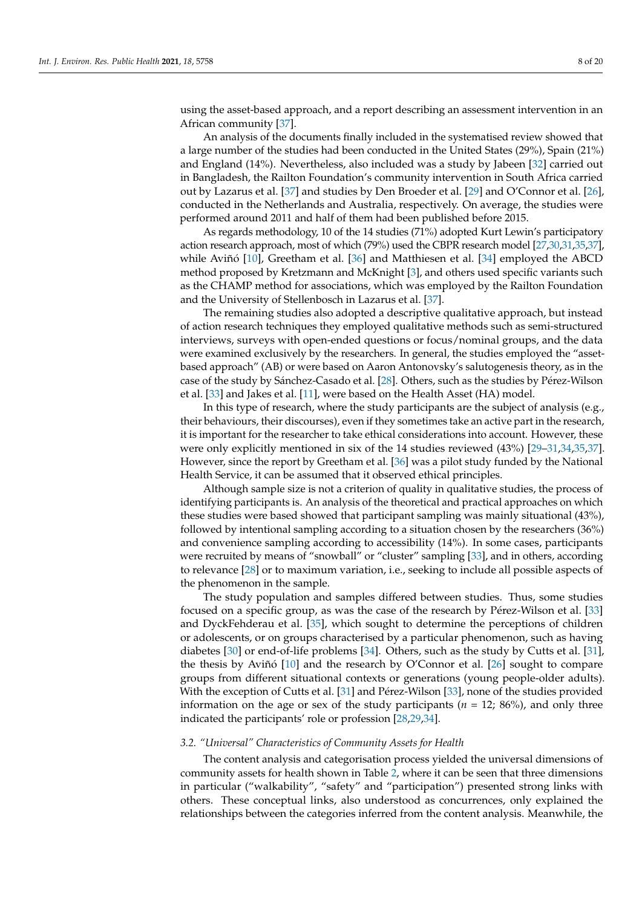using the asset-based approach, and a report describing an assessment intervention in an African community [\[37\]](#page-16-23).

An analysis of the documents finally included in the systematised review showed that a large number of the studies had been conducted in the United States (29%), Spain (21%) and England (14%). Nevertheless, also included was a study by Jabeen [\[32\]](#page-16-18) carried out in Bangladesh, the Railton Foundation's community intervention in South Africa carried out by Lazarus et al. [\[37\]](#page-16-23) and studies by Den Broeder et al. [\[29\]](#page-16-15) and O'Connor et al. [\[26\]](#page-16-12), conducted in the Netherlands and Australia, respectively. On average, the studies were performed around 2011 and half of them had been published before 2015.

As regards methodology, 10 of the 14 studies (71%) adopted Kurt Lewin's participatory action research approach, most of which (79%) used the CBPR research model [\[27](#page-16-13)[,30](#page-16-16)[,31](#page-16-17)[,35](#page-16-21)[,37\]](#page-16-23), while Aviñó [\[10\]](#page-15-9), Greetham et al. [\[36\]](#page-16-22) and Matthiesen et al. [\[34\]](#page-16-20) employed the ABCD method proposed by Kretzmann and McKnight [\[3\]](#page-15-2), and others used specific variants such as the CHAMP method for associations, which was employed by the Railton Foundation and the University of Stellenbosch in Lazarus et al. [\[37\]](#page-16-23).

The remaining studies also adopted a descriptive qualitative approach, but instead of action research techniques they employed qualitative methods such as semi-structured interviews, surveys with open-ended questions or focus/nominal groups, and the data were examined exclusively by the researchers. In general, the studies employed the "assetbased approach" (AB) or were based on Aaron Antonovsky's salutogenesis theory, as in the case of the study by Sánchez-Casado et al. [\[28\]](#page-16-14). Others, such as the studies by Pérez-Wilson et al. [\[33\]](#page-16-19) and Jakes et al. [\[11\]](#page-15-10), were based on the Health Asset (HA) model.

In this type of research, where the study participants are the subject of analysis (e.g., their behaviours, their discourses), even if they sometimes take an active part in the research, it is important for the researcher to take ethical considerations into account. However, these were only explicitly mentioned in six of the 14 studies reviewed (43%) [\[29–](#page-16-15)[31,](#page-16-17)[34,](#page-16-20)[35,](#page-16-21)[37\]](#page-16-23). However, since the report by Greetham et al. [\[36\]](#page-16-22) was a pilot study funded by the National Health Service, it can be assumed that it observed ethical principles.

Although sample size is not a criterion of quality in qualitative studies, the process of identifying participants is. An analysis of the theoretical and practical approaches on which these studies were based showed that participant sampling was mainly situational (43%), followed by intentional sampling according to a situation chosen by the researchers (36%) and convenience sampling according to accessibility (14%). In some cases, participants were recruited by means of "snowball" or "cluster" sampling [\[33\]](#page-16-19), and in others, according to relevance [\[28\]](#page-16-14) or to maximum variation, i.e., seeking to include all possible aspects of the phenomenon in the sample.

The study population and samples differed between studies. Thus, some studies focused on a specific group, as was the case of the research by Pérez-Wilson et al. [\[33\]](#page-16-19) and DyckFehderau et al. [\[35\]](#page-16-21), which sought to determine the perceptions of children or adolescents, or on groups characterised by a particular phenomenon, such as having diabetes [\[30\]](#page-16-16) or end-of-life problems [\[34\]](#page-16-20). Others, such as the study by Cutts et al. [\[31\]](#page-16-17), the thesis by Aviñó [\[10\]](#page-15-9) and the research by O'Connor et al. [\[26\]](#page-16-12) sought to compare groups from different situational contexts or generations (young people-older adults). With the exception of Cutts et al. [\[31\]](#page-16-17) and Pérez-Wilson [\[33\]](#page-16-19), none of the studies provided information on the age or sex of the study participants (*n* = 12; 86%), and only three indicated the participants' role or profession [\[28](#page-16-14)[,29](#page-16-15)[,34\]](#page-16-20).

#### *3.2. "Universal" Characteristics of Community Assets for Health*

The content analysis and categorisation process yielded the universal dimensions of community assets for health shown in Table [2,](#page-8-0) where it can be seen that three dimensions in particular ("walkability", "safety" and "participation") presented strong links with others. These conceptual links, also understood as concurrences, only explained the relationships between the categories inferred from the content analysis. Meanwhile, the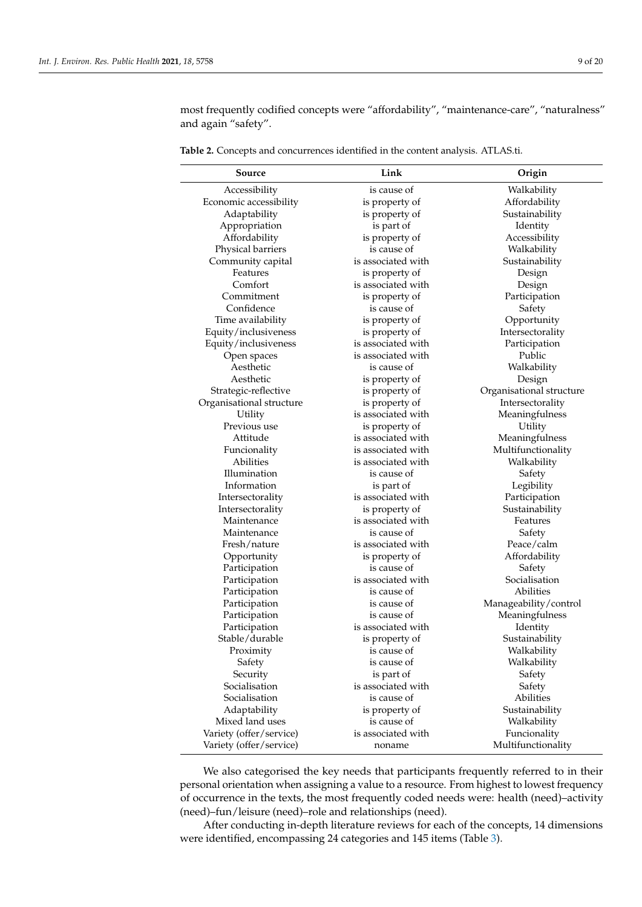most frequently codified concepts were "affordability", "maintenance-care", "naturalness" and again "safety".

| Source                   | Link                          | Origin                     |  |
|--------------------------|-------------------------------|----------------------------|--|
| Accessibility            | is cause of                   | Walkability                |  |
| Economic accessibility   | is property of                | Affordability              |  |
| Adaptability             | is property of                | Sustainability             |  |
| Appropriation            | is part of                    | Identity                   |  |
| Affordability            | is property of                | Accessibility              |  |
| Physical barriers        | is cause of                   | Walkability                |  |
| Community capital        | is associated with            | Sustainability             |  |
| Features                 | is property of                | Design                     |  |
| Comfort                  | is associated with            | Design                     |  |
| Commitment               | is property of                | Participation              |  |
| Confidence               | is cause of                   | Safety                     |  |
| Time availability        | is property of                | Opportunity                |  |
| Equity/inclusiveness     | is property of                | Intersectorality           |  |
| Equity/inclusiveness     | is associated with            | Participation              |  |
| Open spaces              | is associated with            | Public                     |  |
| Aesthetic                | is cause of                   | Walkability                |  |
| Aesthetic                | is property of                | Design                     |  |
| Strategic-reflective     | is property of                | Organisational structure   |  |
| Organisational structure | is property of                | Intersectorality           |  |
| Utility                  | is associated with            | Meaningfulness             |  |
| Previous use             | is property of                | Utility                    |  |
| Attitude                 | is associated with            | Meaningfulness             |  |
| Funcionality             | is associated with            | Multifunctionality         |  |
| Abilities                | is associated with            | Walkability                |  |
| Illumination             | is cause of                   | Safety                     |  |
| Information              | is part of                    | Legibility                 |  |
| Intersectorality         | is associated with            | Participation              |  |
| Intersectorality         | is property of                | Sustainability             |  |
| Maintenance              | is associated with            | Features                   |  |
| Maintenance              | is cause of                   | Safety                     |  |
| Fresh/nature             | is associated with            | Peace/calm                 |  |
| Opportunity              | is property of                | Affordability              |  |
| Participation            | is cause of                   | Safety                     |  |
| Participation            | is associated with            | Socialisation              |  |
| Participation            | is cause of                   | Abilities                  |  |
| Participation            | is cause of                   | Manageability/control      |  |
| Participation            | is cause of                   | Meaningfulness             |  |
| Participation            | is associated with            |                            |  |
| Stable/durable           | is property of                | Identity<br>Sustainability |  |
| Proximity                | is cause of                   | Walkability                |  |
| Safety                   |                               | Walkability                |  |
| Security                 | is cause of<br>is part of     | Safety                     |  |
| Socialisation            | is associated with            | Safety                     |  |
| Socialisation            | is cause of                   | Abilities                  |  |
| Adaptability             |                               | Sustainability             |  |
| Mixed land uses          | is property of<br>is cause of |                            |  |
|                          | is associated with            | Walkability                |  |
| Variety (offer/service)  |                               | Funcionality               |  |
| Variety (offer/service)  | noname                        | Multifunctionality         |  |

<span id="page-8-0"></span>**Table 2.** Concepts and concurrences identified in the content analysis. ATLAS.ti.

We also categorised the key needs that participants frequently referred to in their personal orientation when assigning a value to a resource. From highest to lowest frequency of occurrence in the texts, the most frequently coded needs were: health (need)–activity (need)–fun/leisure (need)–role and relationships (need).

After conducting in-depth literature reviews for each of the concepts, 14 dimensions were identified, encompassing 24 categories and 145 items (Table [3\)](#page-9-0).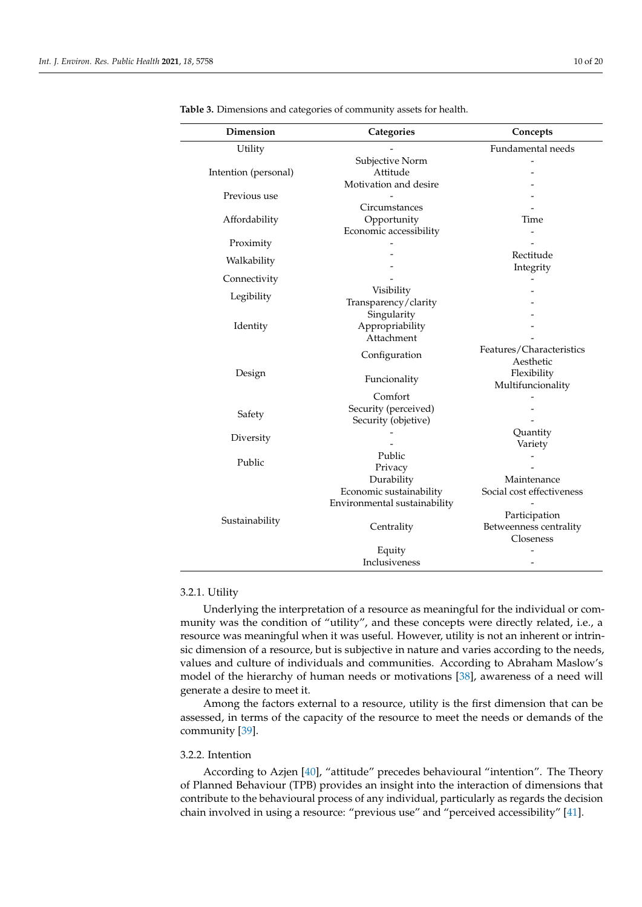| <b>Dimension</b>     | Categories                   | Concepts                  |  |
|----------------------|------------------------------|---------------------------|--|
| Utility              |                              | Fundamental needs         |  |
|                      | Subjective Norm              |                           |  |
| Intention (personal) | Attitude                     |                           |  |
|                      | Motivation and desire        |                           |  |
| Previous use         |                              |                           |  |
|                      | Circumstances                |                           |  |
| Affordability        | Opportunity                  | Time                      |  |
|                      | Economic accessibility       |                           |  |
| Proximity            |                              |                           |  |
| Walkability          |                              | Rectitude                 |  |
|                      |                              | Integrity                 |  |
| Connectivity         |                              |                           |  |
| Legibility           | Visibility                   |                           |  |
|                      | Transparency/clarity         |                           |  |
|                      | Singularity                  |                           |  |
| Identity             | Appropriability              |                           |  |
|                      | Attachment                   |                           |  |
|                      | Configuration                | Features/Characteristics  |  |
|                      |                              | Aesthetic                 |  |
| Design               | Funcionality                 | Flexibility               |  |
|                      |                              | Multifuncionality         |  |
|                      | Comfort                      |                           |  |
| Safety               | Security (perceived)         |                           |  |
|                      | Security (objetive)          |                           |  |
| Diversity            |                              | Quantity                  |  |
|                      |                              | Variety                   |  |
| Public               | Public                       |                           |  |
|                      | Privacy                      |                           |  |
|                      | Durability                   | Maintenance               |  |
|                      | Economic sustainability      | Social cost effectiveness |  |
|                      | Environmental sustainability |                           |  |
| Sustainability       |                              | Participation             |  |
|                      | Centrality                   | Betweenness centrality    |  |
|                      |                              | Closeness                 |  |
|                      | Equity                       |                           |  |
|                      | Inclusiveness                |                           |  |

<span id="page-9-0"></span>**Table 3.** Dimensions and categories of community assets for health.

# 3.2.1. Utility

Underlying the interpretation of a resource as meaningful for the individual or community was the condition of "utility", and these concepts were directly related, i.e., a resource was meaningful when it was useful. However, utility is not an inherent or intrinsic dimension of a resource, but is subjective in nature and varies according to the needs, values and culture of individuals and communities. According to Abraham Maslow's model of the hierarchy of human needs or motivations [\[38\]](#page-16-24), awareness of a need will generate a desire to meet it.

Among the factors external to a resource, utility is the first dimension that can be assessed, in terms of the capacity of the resource to meet the needs or demands of the community [\[39\]](#page-16-25).

# 3.2.2. Intention

According to Azjen [\[40\]](#page-17-0), "attitude" precedes behavioural "intention". The Theory of Planned Behaviour (TPB) provides an insight into the interaction of dimensions that contribute to the behavioural process of any individual, particularly as regards the decision chain involved in using a resource: "previous use" and "perceived accessibility" [\[41\]](#page-17-1).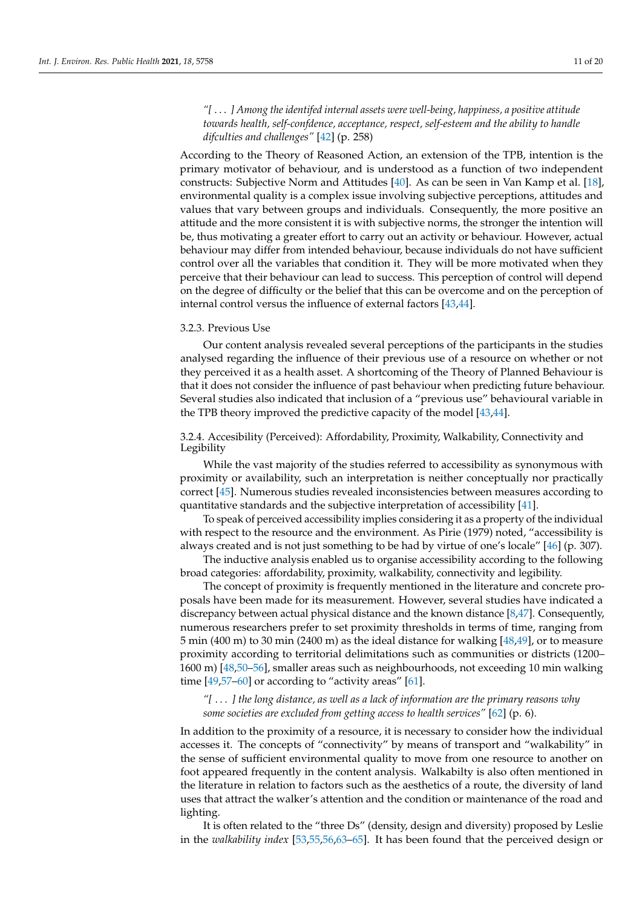*"[* . . . *] Among the identifed internal assets were well-being, happiness, a positive attitude towards health, self-confdence, acceptance, respect, self-esteem and the ability to handle difculties and challenges"* [\[42\]](#page-17-2) (p. 258)

According to the Theory of Reasoned Action, an extension of the TPB, intention is the primary motivator of behaviour, and is understood as a function of two independent constructs: Subjective Norm and Attitudes [\[40\]](#page-17-0). As can be seen in Van Kamp et al. [\[18\]](#page-16-4), environmental quality is a complex issue involving subjective perceptions, attitudes and values that vary between groups and individuals. Consequently, the more positive an attitude and the more consistent it is with subjective norms, the stronger the intention will be, thus motivating a greater effort to carry out an activity or behaviour. However, actual behaviour may differ from intended behaviour, because individuals do not have sufficient control over all the variables that condition it. They will be more motivated when they perceive that their behaviour can lead to success. This perception of control will depend on the degree of difficulty or the belief that this can be overcome and on the perception of internal control versus the influence of external factors [\[43](#page-17-3)[,44\]](#page-17-4).

#### 3.2.3. Previous Use

Our content analysis revealed several perceptions of the participants in the studies analysed regarding the influence of their previous use of a resource on whether or not they perceived it as a health asset. A shortcoming of the Theory of Planned Behaviour is that it does not consider the influence of past behaviour when predicting future behaviour. Several studies also indicated that inclusion of a "previous use" behavioural variable in the TPB theory improved the predictive capacity of the model [\[43](#page-17-3)[,44\]](#page-17-4).

3.2.4. Accesibility (Perceived): Affordability, Proximity, Walkability, Connectivity and Legibility

While the vast majority of the studies referred to accessibility as synonymous with proximity or availability, such an interpretation is neither conceptually nor practically correct [\[45\]](#page-17-5). Numerous studies revealed inconsistencies between measures according to quantitative standards and the subjective interpretation of accessibility [\[41\]](#page-17-1).

To speak of perceived accessibility implies considering it as a property of the individual with respect to the resource and the environment. As Pirie (1979) noted, "accessibility is always created and is not just something to be had by virtue of one's locale" [\[46\]](#page-17-6) (p. 307).

The inductive analysis enabled us to organise accessibility according to the following broad categories: affordability, proximity, walkability, connectivity and legibility.

The concept of proximity is frequently mentioned in the literature and concrete proposals have been made for its measurement. However, several studies have indicated a discrepancy between actual physical distance and the known distance [\[8,](#page-15-7)[47\]](#page-17-7). Consequently, numerous researchers prefer to set proximity thresholds in terms of time, ranging from 5 min (400 m) to 30 min (2400 m) as the ideal distance for walking [\[48](#page-17-8)[,49\]](#page-17-9), or to measure proximity according to territorial delimitations such as communities or districts (1200– 1600 m) [\[48](#page-17-8)[,50–](#page-17-10)[56\]](#page-17-11), smaller areas such as neighbourhoods, not exceeding 10 min walking time  $[49,57-60]$  $[49,57-60]$  $[49,57-60]$  or according to "activity areas"  $[61]$ .

*"[* . . . *] the long distance, as well as a lack of information are the primary reasons why some societies are excluded from getting access to health services"* [\[62\]](#page-17-15) (p. 6).

In addition to the proximity of a resource, it is necessary to consider how the individual accesses it. The concepts of "connectivity" by means of transport and "walkability" in the sense of sufficient environmental quality to move from one resource to another on foot appeared frequently in the content analysis. Walkabilty is also often mentioned in the literature in relation to factors such as the aesthetics of a route, the diversity of land uses that attract the walker's attention and the condition or maintenance of the road and lighting.

It is often related to the "three Ds" (density, design and diversity) proposed by Leslie in the *walkability index* [\[53](#page-17-16)[,55](#page-17-17)[,56](#page-17-11)[,63–](#page-17-18)[65\]](#page-17-19). It has been found that the perceived design or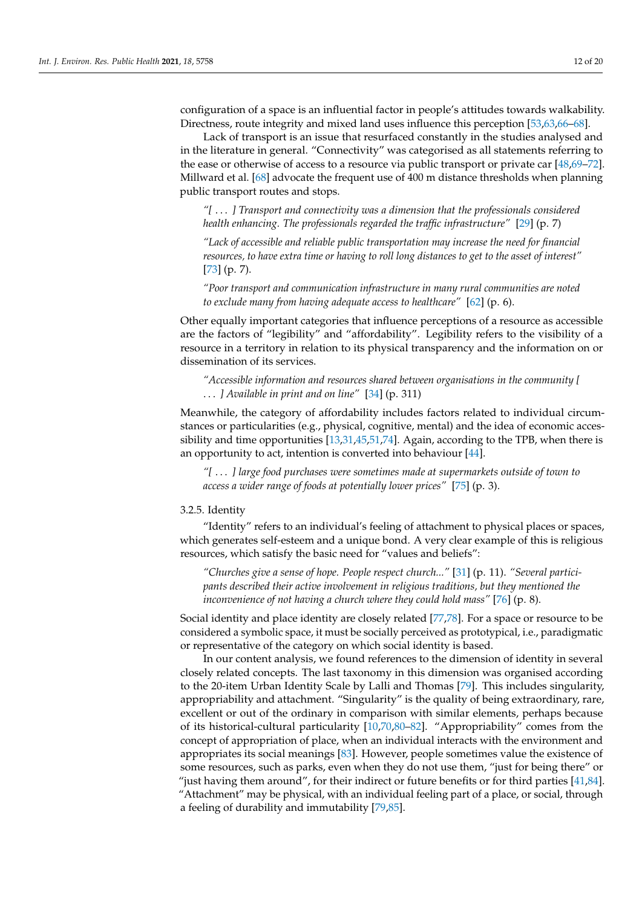configuration of a space is an influential factor in people's attitudes towards walkability. Directness, route integrity and mixed land uses influence this perception [\[53,](#page-17-16)[63,](#page-17-18)[66](#page-17-20)[–68\]](#page-17-21).

Lack of transport is an issue that resurfaced constantly in the studies analysed and in the literature in general. "Connectivity" was categorised as all statements referring to the ease or otherwise of access to a resource via public transport or private car [\[48,](#page-17-8)[69](#page-18-0)[–72\]](#page-18-1). Millward et al. [\[68\]](#page-17-21) advocate the frequent use of 400 m distance thresholds when planning public transport routes and stops.

*"[* . . . *] Transport and connectivity was a dimension that the professionals considered health enhancing. The professionals regarded the traffic infrastructure"* [\[29\]](#page-16-15) (p. 7)

*"Lack of accessible and reliable public transportation may increase the need for financial resources, to have extra time or having to roll long distances to get to the asset of interest"* [\[73\]](#page-18-2) (p. 7).

*"Poor transport and communication infrastructure in many rural communities are noted to exclude many from having adequate access to healthcare"* [\[62\]](#page-17-15) (p. 6).

Other equally important categories that influence perceptions of a resource as accessible are the factors of "legibility" and "affordability". Legibility refers to the visibility of a resource in a territory in relation to its physical transparency and the information on or dissemination of its services.

*"Accessible information and resources shared between organisations in the community [* . . . *] Available in print and on line"* [\[34\]](#page-16-20) (p. 311)

Meanwhile, the category of affordability includes factors related to individual circumstances or particularities (e.g., physical, cognitive, mental) and the idea of economic accessibility and time opportunities [\[13](#page-16-1)[,31](#page-16-17)[,45,](#page-17-5)[51,](#page-17-22)[74\]](#page-18-3). Again, according to the TPB, when there is an opportunity to act, intention is converted into behaviour [\[44\]](#page-17-4).

*"[* . . . *] large food purchases were sometimes made at supermarkets outside of town to access a wider range of foods at potentially lower prices"* [\[75\]](#page-18-4) (p. 3).

#### 3.2.5. Identity

"Identity" refers to an individual's feeling of attachment to physical places or spaces, which generates self-esteem and a unique bond. A very clear example of this is religious resources, which satisfy the basic need for "values and beliefs":

*"Churches give a sense of hope. People respect church..."* [\[31\]](#page-16-17) (p. 11). *"Several participants described their active involvement in religious traditions, but they mentioned the inconvenience of not having a church where they could hold mass"* [\[76\]](#page-18-5) (p. 8).

Social identity and place identity are closely related [\[77](#page-18-6)[,78\]](#page-18-7). For a space or resource to be considered a symbolic space, it must be socially perceived as prototypical, i.e., paradigmatic or representative of the category on which social identity is based.

In our content analysis, we found references to the dimension of identity in several closely related concepts. The last taxonomy in this dimension was organised according to the 20-item Urban Identity Scale by Lalli and Thomas [\[79\]](#page-18-8). This includes singularity, appropriability and attachment. "Singularity" is the quality of being extraordinary, rare, excellent or out of the ordinary in comparison with similar elements, perhaps because of its historical-cultural particularity [\[10,](#page-15-9)[70,](#page-18-9)[80–](#page-18-10)[82\]](#page-18-11). "Appropriability" comes from the concept of appropriation of place, when an individual interacts with the environment and appropriates its social meanings [\[83\]](#page-18-12). However, people sometimes value the existence of some resources, such as parks, even when they do not use them, "just for being there" or "just having them around", for their indirect or future benefits or for third parties [\[41,](#page-17-1)[84\]](#page-18-13). "Attachment" may be physical, with an individual feeling part of a place, or social, through a feeling of durability and immutability [\[79](#page-18-8)[,85\]](#page-18-14).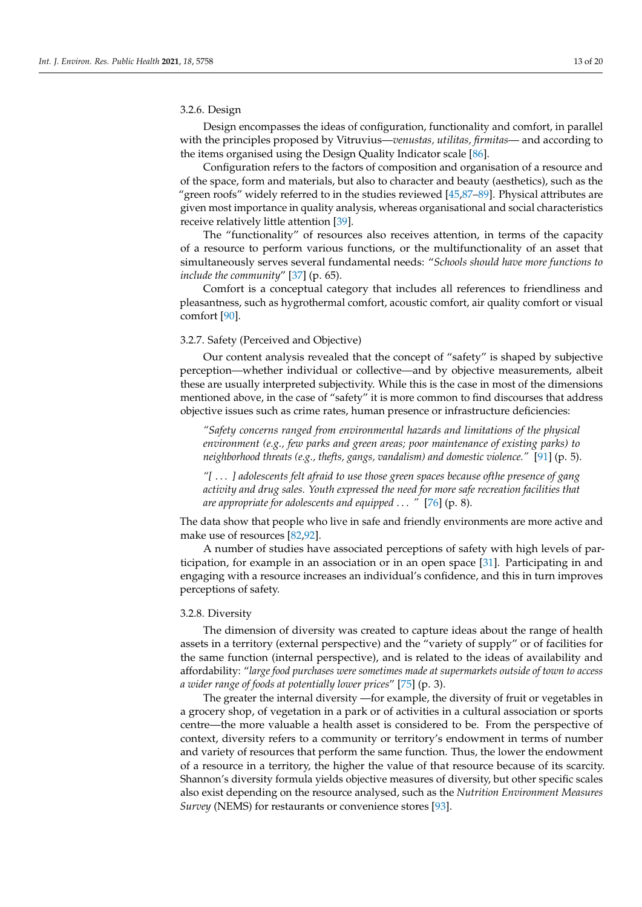# 3.2.6. Design

Design encompasses the ideas of configuration, functionality and comfort, in parallel with the principles proposed by Vitruvius—*venustas, utilitas, firmitas*— and according to the items organised using the Design Quality Indicator scale [\[86\]](#page-18-15).

Configuration refers to the factors of composition and organisation of a resource and of the space, form and materials, but also to character and beauty (aesthetics), such as the "green roofs" widely referred to in the studies reviewed [\[45,](#page-17-5)[87–](#page-18-16)[89\]](#page-18-17). Physical attributes are given most importance in quality analysis, whereas organisational and social characteristics receive relatively little attention [\[39\]](#page-16-25).

The "functionality" of resources also receives attention, in terms of the capacity of a resource to perform various functions, or the multifunctionality of an asset that simultaneously serves several fundamental needs: "*Schools should have more functions to include the community*" [\[37\]](#page-16-23) (p. 65).

Comfort is a conceptual category that includes all references to friendliness and pleasantness, such as hygrothermal comfort, acoustic comfort, air quality comfort or visual comfort [\[90\]](#page-18-18).

#### 3.2.7. Safety (Perceived and Objective)

Our content analysis revealed that the concept of "safety" is shaped by subjective perception—whether individual or collective—and by objective measurements, albeit these are usually interpreted subjectivity. While this is the case in most of the dimensions mentioned above, in the case of "safety" it is more common to find discourses that address objective issues such as crime rates, human presence or infrastructure deficiencies:

*"Safety concerns ranged from environmental hazards and limitations of the physical environment (e.g., few parks and green areas; poor maintenance of existing parks) to neighborhood threats (e.g., thefts, gangs, vandalism) and domestic violence."* [\[91\]](#page-18-19) (p. 5).

*"[* . . . *] adolescents felt afraid to use those green spaces because ofthe presence of gang activity and drug sales. Youth expressed the need for more safe recreation facilities that are appropriate for adolescents and equipped* . . . *"* [\[76\]](#page-18-5) (p. 8).

The data show that people who live in safe and friendly environments are more active and make use of resources [\[82,](#page-18-11)[92\]](#page-18-20).

A number of studies have associated perceptions of safety with high levels of participation, for example in an association or in an open space [\[31\]](#page-16-17). Participating in and engaging with a resource increases an individual's confidence, and this in turn improves perceptions of safety.

# 3.2.8. Diversity

The dimension of diversity was created to capture ideas about the range of health assets in a territory (external perspective) and the "variety of supply" or of facilities for the same function (internal perspective), and is related to the ideas of availability and affordability: "*large food purchases were sometimes made at supermarkets outside of town to access a wider range of foods at potentially lower prices*" [\[75\]](#page-18-4) (p. 3).

The greater the internal diversity —for example, the diversity of fruit or vegetables in a grocery shop, of vegetation in a park or of activities in a cultural association or sports centre—the more valuable a health asset is considered to be. From the perspective of context, diversity refers to a community or territory's endowment in terms of number and variety of resources that perform the same function. Thus, the lower the endowment of a resource in a territory, the higher the value of that resource because of its scarcity. Shannon's diversity formula yields objective measures of diversity, but other specific scales also exist depending on the resource analysed, such as the *Nutrition Environment Measures Survey* (NEMS) for restaurants or convenience stores [\[93\]](#page-18-21).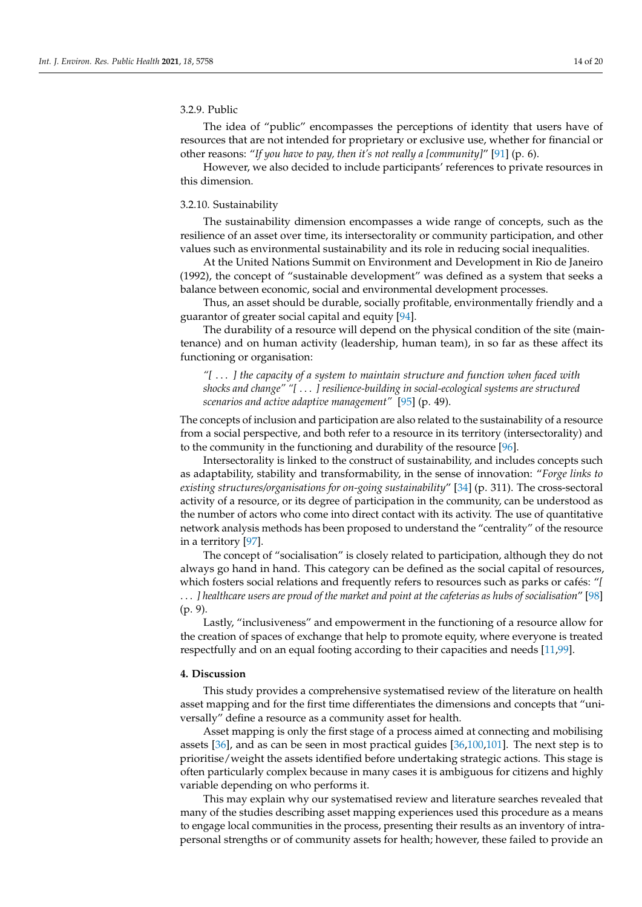# 3.2.9. Public

The idea of "public" encompasses the perceptions of identity that users have of resources that are not intended for proprietary or exclusive use, whether for financial or other reasons: "*If you have to pay, then it's not really a [community]*" [\[91\]](#page-18-19) (p. 6).

However, we also decided to include participants' references to private resources in this dimension.

# 3.2.10. Sustainability

The sustainability dimension encompasses a wide range of concepts, such as the resilience of an asset over time, its intersectorality or community participation, and other values such as environmental sustainability and its role in reducing social inequalities.

At the United Nations Summit on Environment and Development in Rio de Janeiro (1992), the concept of "sustainable development" was defined as a system that seeks a balance between economic, social and environmental development processes.

Thus, an asset should be durable, socially profitable, environmentally friendly and a guarantor of greater social capital and equity [\[94\]](#page-18-22).

The durability of a resource will depend on the physical condition of the site (maintenance) and on human activity (leadership, human team), in so far as these affect its functioning or organisation:

*"[* . . . *] the capacity of a system to maintain structure and function when faced with shocks and change" "[* . . . *] resilience-building in social-ecological systems are structured scenarios and active adaptive management"* [\[95\]](#page-18-23) (p. 49).

The concepts of inclusion and participation are also related to the sustainability of a resource from a social perspective, and both refer to a resource in its territory (intersectorality) and to the community in the functioning and durability of the resource [\[96\]](#page-18-24).

Intersectorality is linked to the construct of sustainability, and includes concepts such as adaptability, stability and transformability, in the sense of innovation: "*Forge links to existing structures/organisations for on-going sustainability*" [\[34\]](#page-16-20) (p. 311). The cross-sectoral activity of a resource, or its degree of participation in the community, can be understood as the number of actors who come into direct contact with its activity. The use of quantitative network analysis methods has been proposed to understand the "centrality" of the resource in a territory [\[97\]](#page-19-0).

The concept of "socialisation" is closely related to participation, although they do not always go hand in hand. This category can be defined as the social capital of resources, which fosters social relations and frequently refers to resources such as parks or cafés: "*[* . . . *] healthcare users are proud of the market and point at the cafeterias as hubs of socialisation*" [\[98\]](#page-19-1) (p. 9).

Lastly, "inclusiveness" and empowerment in the functioning of a resource allow for the creation of spaces of exchange that help to promote equity, where everyone is treated respectfully and on an equal footing according to their capacities and needs [\[11,](#page-15-10)[99\]](#page-19-2).

#### **4. Discussion**

This study provides a comprehensive systematised review of the literature on health asset mapping and for the first time differentiates the dimensions and concepts that "universally" define a resource as a community asset for health.

Asset mapping is only the first stage of a process aimed at connecting and mobilising assets [\[36\]](#page-16-22), and as can be seen in most practical guides [\[36,](#page-16-22)[100](#page-19-3)[,101\]](#page-19-4). The next step is to prioritise/weight the assets identified before undertaking strategic actions. This stage is often particularly complex because in many cases it is ambiguous for citizens and highly variable depending on who performs it.

This may explain why our systematised review and literature searches revealed that many of the studies describing asset mapping experiences used this procedure as a means to engage local communities in the process, presenting their results as an inventory of intrapersonal strengths or of community assets for health; however, these failed to provide an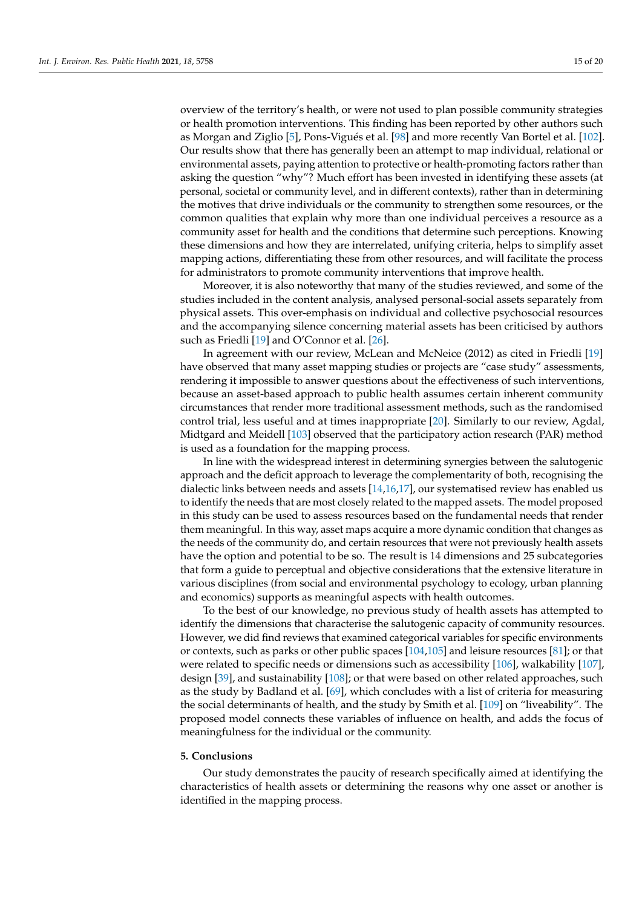overview of the territory's health, or were not used to plan possible community strategies or health promotion interventions. This finding has been reported by other authors such as Morgan and Ziglio [\[5\]](#page-15-4), Pons-Vigués et al. [\[98\]](#page-19-1) and more recently Van Bortel et al. [\[102\]](#page-19-5). Our results show that there has generally been an attempt to map individual, relational or environmental assets, paying attention to protective or health-promoting factors rather than asking the question "why"? Much effort has been invested in identifying these assets (at personal, societal or community level, and in different contexts), rather than in determining the motives that drive individuals or the community to strengthen some resources, or the common qualities that explain why more than one individual perceives a resource as a community asset for health and the conditions that determine such perceptions. Knowing these dimensions and how they are interrelated, unifying criteria, helps to simplify asset mapping actions, differentiating these from other resources, and will facilitate the process for administrators to promote community interventions that improve health.

Moreover, it is also noteworthy that many of the studies reviewed, and some of the studies included in the content analysis, analysed personal-social assets separately from physical assets. This over-emphasis on individual and collective psychosocial resources and the accompanying silence concerning material assets has been criticised by authors such as Friedli [\[19\]](#page-16-5) and O'Connor et al. [\[26\]](#page-16-12).

In agreement with our review, McLean and McNeice (2012) as cited in Friedli [\[19\]](#page-16-5) have observed that many asset mapping studies or projects are "case study" assessments, rendering it impossible to answer questions about the effectiveness of such interventions, because an asset-based approach to public health assumes certain inherent community circumstances that render more traditional assessment methods, such as the randomised control trial, less useful and at times inappropriate [\[20\]](#page-16-6). Similarly to our review, Agdal, Midtgard and Meidell [\[103\]](#page-19-6) observed that the participatory action research (PAR) method is used as a foundation for the mapping process.

In line with the widespread interest in determining synergies between the salutogenic approach and the deficit approach to leverage the complementarity of both, recognising the dialectic links between needs and assets [\[14](#page-16-2)[,16](#page-16-26)[,17\]](#page-16-3), our systematised review has enabled us to identify the needs that are most closely related to the mapped assets. The model proposed in this study can be used to assess resources based on the fundamental needs that render them meaningful. In this way, asset maps acquire a more dynamic condition that changes as the needs of the community do, and certain resources that were not previously health assets have the option and potential to be so. The result is 14 dimensions and 25 subcategories that form a guide to perceptual and objective considerations that the extensive literature in various disciplines (from social and environmental psychology to ecology, urban planning and economics) supports as meaningful aspects with health outcomes.

To the best of our knowledge, no previous study of health assets has attempted to identify the dimensions that characterise the salutogenic capacity of community resources. However, we did find reviews that examined categorical variables for specific environments or contexts, such as parks or other public spaces [\[104](#page-19-7)[,105\]](#page-19-8) and leisure resources [\[81\]](#page-18-25); or that were related to specific needs or dimensions such as accessibility [\[106\]](#page-19-9), walkability [\[107\]](#page-19-10), design [\[39\]](#page-16-25), and sustainability [\[108\]](#page-19-11); or that were based on other related approaches, such as the study by Badland et al. [\[69\]](#page-18-0), which concludes with a list of criteria for measuring the social determinants of health, and the study by Smith et al. [\[109\]](#page-19-12) on "liveability". The proposed model connects these variables of influence on health, and adds the focus of meaningfulness for the individual or the community.

#### **5. Conclusions**

Our study demonstrates the paucity of research specifically aimed at identifying the characteristics of health assets or determining the reasons why one asset or another is identified in the mapping process.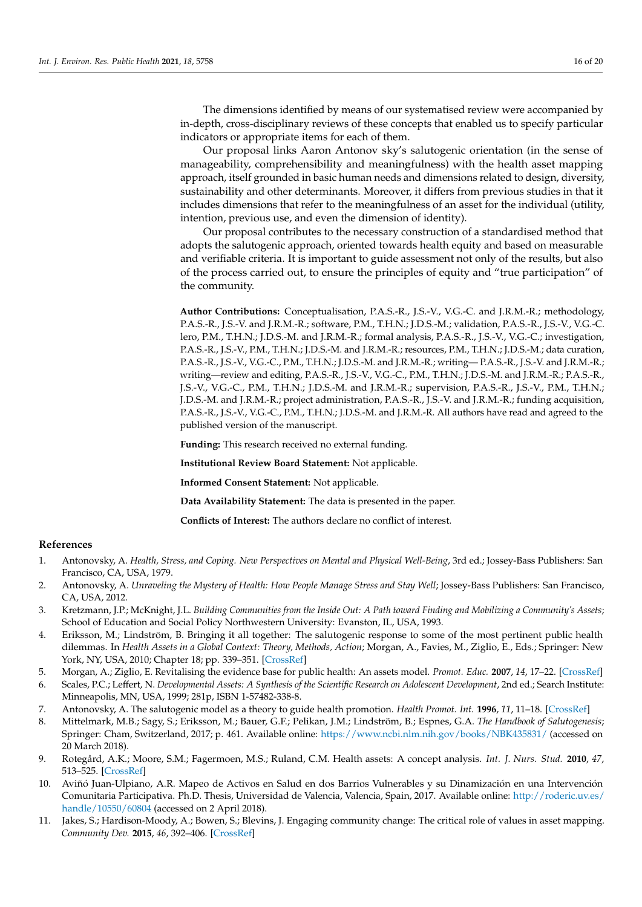The dimensions identified by means of our systematised review were accompanied by in-depth, cross-disciplinary reviews of these concepts that enabled us to specify particular indicators or appropriate items for each of them.

Our proposal links Aaron Antonov sky's salutogenic orientation (in the sense of manageability, comprehensibility and meaningfulness) with the health asset mapping approach, itself grounded in basic human needs and dimensions related to design, diversity, sustainability and other determinants. Moreover, it differs from previous studies in that it includes dimensions that refer to the meaningfulness of an asset for the individual (utility, intention, previous use, and even the dimension of identity).

Our proposal contributes to the necessary construction of a standardised method that adopts the salutogenic approach, oriented towards health equity and based on measurable and verifiable criteria. It is important to guide assessment not only of the results, but also of the process carried out, to ensure the principles of equity and "true participation" of the community.

**Author Contributions:** Conceptualisation, P.A.S.-R., J.S.-V., V.G.-C. and J.R.M.-R.; methodology, P.A.S.-R., J.S.-V. and J.R.M.-R.; software, P.M., T.H.N.; J.D.S.-M.; validation, P.A.S.-R., J.S.-V., V.G.-C. lero, P.M., T.H.N.; J.D.S.-M. and J.R.M.-R.; formal analysis, P.A.S.-R., J.S.-V., V.G.-C.; investigation, P.A.S.-R., J.S.-V., P.M., T.H.N.; J.D.S.-M. and J.R.M.-R.; resources, P.M., T.H.N.; J.D.S.-M.; data curation, P.A.S.-R., J.S.-V., V.G.-C., P.M., T.H.N.; J.D.S.-M. and J.R.M.-R.; writing— P.A.S.-R., J.S.-V. and J.R.M.-R.; writing—review and editing, P.A.S.-R., J.S.-V., V.G.-C., P.M., T.H.N.; J.D.S.-M. and J.R.M.-R.; P.A.S.-R., J.S.-V., V.G.-C., P.M., T.H.N.; J.D.S.-M. and J.R.M.-R.; supervision, P.A.S.-R., J.S.-V., P.M., T.H.N.; J.D.S.-M. and J.R.M.-R.; project administration, P.A.S.-R., J.S.-V. and J.R.M.-R.; funding acquisition, P.A.S.-R., J.S.-V., V.G.-C., P.M., T.H.N.; J.D.S.-M. and J.R.M.-R. All authors have read and agreed to the published version of the manuscript.

**Funding:** This research received no external funding.

**Institutional Review Board Statement:** Not applicable.

**Informed Consent Statement:** Not applicable.

**Data Availability Statement:** The data is presented in the paper.

**Conflicts of Interest:** The authors declare no conflict of interest.

#### **References**

- <span id="page-15-0"></span>1. Antonovsky, A. *Health, Stress, and Coping. New Perspectives on Mental and Physical Well-Being*, 3rd ed.; Jossey-Bass Publishers: San Francisco, CA, USA, 1979.
- <span id="page-15-1"></span>2. Antonovsky, A. *Unraveling the Mystery of Health: How People Manage Stress and Stay Well*; Jossey-Bass Publishers: San Francisco, CA, USA, 2012.
- <span id="page-15-2"></span>3. Kretzmann, J.P.; McKnight, J.L. *Building Communities from the Inside Out: A Path toward Finding and Mobilizing a Community's Assets*; School of Education and Social Policy Northwestern University: Evanston, IL, USA, 1993.
- <span id="page-15-3"></span>4. Eriksson, M.; Lindström, B. Bringing it all together: The salutogenic response to some of the most pertinent public health dilemmas. In *Health Assets in a Global Context: Theory, Methods, Action; Morgan, A., Favies, M., Ziglio, E., Eds.; Springer: New* York, NY, USA, 2010; Chapter 18; pp. 339–351. [\[CrossRef\]](http://doi.org/10.1007/978-1-4419-5921-8)
- <span id="page-15-4"></span>5. Morgan, A.; Ziglio, E. Revitalising the evidence base for public health: An assets model. *Promot. Educ.* **2007**, *14*, 17–22. [\[CrossRef\]](http://doi.org/10.1177/10253823070140020701x)
- <span id="page-15-5"></span>6. Scales, P.C.; Leffert, N. *Developmental Assets: A Synthesis of the Scientific Research on Adolescent Development*, 2nd ed.; Search Institute: Minneapolis, MN, USA, 1999; 281p, ISBN 1-57482-338-8.
- <span id="page-15-6"></span>7. Antonovsky, A. The salutogenic model as a theory to guide health promotion. *Health Promot. Int.* **1996**, *11*, 11–18. [\[CrossRef\]](http://doi.org/10.1093/heapro/11.1.11)
- <span id="page-15-7"></span>8. Mittelmark, M.B.; Sagy, S.; Eriksson, M.; Bauer, G.F.; Pelikan, J.M.; Lindström, B.; Espnes, G.A. *The Handbook of Salutogenesis*; Springer: Cham, Switzerland, 2017; p. 461. Available online: <https://www.ncbi.nlm.nih.gov/books/NBK435831/> (accessed on 20 March 2018).
- <span id="page-15-8"></span>9. Rotegård, A.K.; Moore, S.M.; Fagermoen, M.S.; Ruland, C.M. Health assets: A concept analysis. *Int. J. Nurs. Stud.* **2010**, *47*, 513–525. [\[CrossRef\]](http://doi.org/10.1016/j.ijnurstu.2009.09.005)
- <span id="page-15-9"></span>10. Aviñó Juan-Ulpiano, A.R. Mapeo de Activos en Salud en dos Barrios Vulnerables y su Dinamización en una Intervención Comunitaria Participativa. Ph.D. Thesis, Universidad de Valencia, Valencia, Spain, 2017. Available online: [http://roderic.uv.es/](http://roderic.uv.es/handle/10550/60804) [handle/10550/60804](http://roderic.uv.es/handle/10550/60804) (accessed on 2 April 2018).
- <span id="page-15-10"></span>11. Jakes, S.; Hardison-Moody, A.; Bowen, S.; Blevins, J. Engaging community change: The critical role of values in asset mapping. *Community Dev.* **2015**, *46*, 392–406. [\[CrossRef\]](http://doi.org/10.1080/15575330.2015.1064146)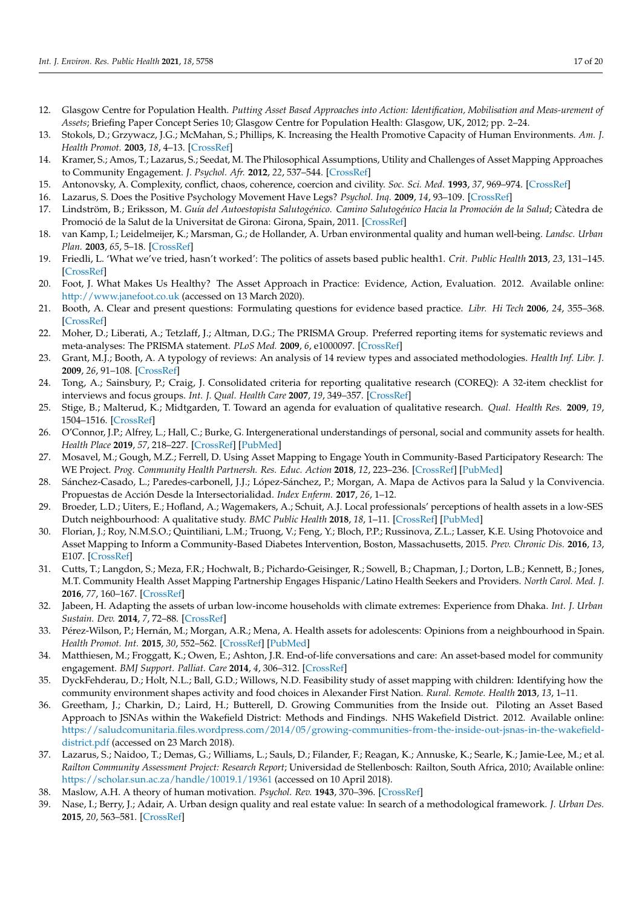- <span id="page-16-0"></span>12. Glasgow Centre for Population Health. *Putting Asset Based Approaches into Action: Identification, Mobilisation and Meas-urement of Assets*; Briefing Paper Concept Series 10; Glasgow Centre for Population Health: Glasgow, UK, 2012; pp. 2–24.
- <span id="page-16-1"></span>13. Stokols, D.; Grzywacz, J.G.; McMahan, S.; Phillips, K. Increasing the Health Promotive Capacity of Human Environments. *Am. J. Health Promot.* **2003**, *18*, 4–13. [\[CrossRef\]](http://doi.org/10.4278/0890-1171-18.1.4)
- <span id="page-16-2"></span>14. Kramer, S.; Amos, T.; Lazarus, S.; Seedat, M. The Philosophical Assumptions, Utility and Challenges of Asset Mapping Approaches to Community Engagement. *J. Psychol. Afr.* **2012**, *22*, 537–544. [\[CrossRef\]](http://doi.org/10.1080/14330237.2012.10820565)
- 15. Antonovsky, A. Complexity, conflict, chaos, coherence, coercion and civility. *Soc. Sci. Med.* **1993**, *37*, 969–974. [\[CrossRef\]](http://doi.org/10.1016/0277-9536(93)90427-6)
- <span id="page-16-26"></span>16. Lazarus, S. Does the Positive Psychology Movement Have Legs? *Psychol. Inq.* **2009**, *14*, 93–109. [\[CrossRef\]](http://doi.org/10.1207/S15327965PLI1402_02)
- <span id="page-16-3"></span>17. Lindström, B.; Eriksson, M. *Guía del Autoestopista Salutogénico. Camino Salutogénico Hacia la Promoción de la Salud*; Càtedra de Promoció de la Salut de la Universitat de Girona: Girona, Spain, 2011. [\[CrossRef\]](http://doi.org/10.1017/CBO9781107415324.004)
- <span id="page-16-4"></span>18. van Kamp, I.; Leidelmeijer, K.; Marsman, G.; de Hollander, A. Urban environmental quality and human well-being. *Landsc. Urban Plan.* **2003**, *65*, 5–18. [\[CrossRef\]](http://doi.org/10.1016/S0169-2046(02)00232-3)
- <span id="page-16-5"></span>19. Friedli, L. 'What we've tried, hasn't worked': The politics of assets based public health1. *Crit. Public Health* **2013**, *23*, 131–145. [\[CrossRef\]](http://doi.org/10.1080/09581596.2012.748882)
- <span id="page-16-6"></span>20. Foot, J. What Makes Us Healthy? The Asset Approach in Practice: Evidence, Action, Evaluation. 2012. Available online: <http://www.janefoot.co.uk> (accessed on 13 March 2020).
- <span id="page-16-7"></span>21. Booth, A. Clear and present questions: Formulating questions for evidence based practice. *Libr. Hi Tech* **2006**, *24*, 355–368. [\[CrossRef\]](http://doi.org/10.1108/07378830610692127)
- <span id="page-16-8"></span>22. Moher, D.; Liberati, A.; Tetzlaff, J.; Altman, D.G.; The PRISMA Group. Preferred reporting items for systematic reviews and meta-analyses: The PRISMA statement. *PLoS Med.* **2009**, *6*, e1000097. [\[CrossRef\]](http://doi.org/10.1371/journal.pmed.1000097)
- <span id="page-16-9"></span>23. Grant, M.J.; Booth, A. A typology of reviews: An analysis of 14 review types and associated methodologies. *Health Inf. Libr. J.* **2009**, *26*, 91–108. [\[CrossRef\]](http://doi.org/10.1111/j.1471-1842.2009.00848.x)
- <span id="page-16-10"></span>24. Tong, A.; Sainsbury, P.; Craig, J. Consolidated criteria for reporting qualitative research (COREQ): A 32-item checklist for interviews and focus groups. *Int. J. Qual. Health Care* **2007**, *19*, 349–357. [\[CrossRef\]](http://doi.org/10.1093/intqhc/mzm042)
- <span id="page-16-11"></span>25. Stige, B.; Malterud, K.; Midtgarden, T. Toward an agenda for evaluation of qualitative research. *Qual. Health Res.* **2009**, *19*, 1504–1516. [\[CrossRef\]](http://doi.org/10.1177/1049732309348501)
- <span id="page-16-12"></span>26. O'Connor, J.P.; Alfrey, L.; Hall, C.; Burke, G. Intergenerational understandings of personal, social and community assets for health. *Health Place* **2019**, *57*, 218–227. [\[CrossRef\]](http://doi.org/10.1016/j.healthplace.2019.05.004) [\[PubMed\]](http://www.ncbi.nlm.nih.gov/pubmed/31108364)
- <span id="page-16-13"></span>27. Mosavel, M.; Gough, M.Z.; Ferrell, D. Using Asset Mapping to Engage Youth in Community-Based Participatory Research: The WE Project. *Prog. Community Health Partnersh. Res. Educ. Action* **2018**, *12*, 223–236. [\[CrossRef\]](http://doi.org/10.1353/cpr.2018.0042) [\[PubMed\]](http://www.ncbi.nlm.nih.gov/pubmed/30270232)
- <span id="page-16-14"></span>28. Sánchez-Casado, L.; Paredes-carbonell, J.J.; López-Sánchez, P.; Morgan, A. Mapa de Activos para la Salud y la Convivencia. Propuestas de Acción Desde la Intersectorialidad. *Index Enferm.* **2017**, *26*, 1–12.
- <span id="page-16-15"></span>29. Broeder, L.D.; Uiters, E.; Hofland, A.; Wagemakers, A.; Schuit, A.J. Local professionals' perceptions of health assets in a low-SES Dutch neighbourhood: A qualitative study. *BMC Public Health* **2018**, *18*, 1–11. [\[CrossRef\]](http://doi.org/10.1186/s12889-017-4555-6) [\[PubMed\]](http://www.ncbi.nlm.nih.gov/pubmed/28697770)
- <span id="page-16-16"></span>30. Florian, J.; Roy, N.M.S.O.; Quintiliani, L.M.; Truong, V.; Feng, Y.; Bloch, P.P.; Russinova, Z.L.; Lasser, K.E. Using Photovoice and Asset Mapping to Inform a Community-Based Diabetes Intervention, Boston, Massachusetts, 2015. *Prev. Chronic Dis.* **2016**, *13*, E107. [\[CrossRef\]](http://doi.org/10.5888/pcd13.160160)
- <span id="page-16-17"></span>31. Cutts, T.; Langdon, S.; Meza, F.R.; Hochwalt, B.; Pichardo-Geisinger, R.; Sowell, B.; Chapman, J.; Dorton, L.B.; Kennett, B.; Jones, M.T. Community Health Asset Mapping Partnership Engages Hispanic/Latino Health Seekers and Providers. *North Carol. Med. J.* **2016**, *77*, 160–167. [\[CrossRef\]](http://doi.org/10.18043/ncm.77.3.160)
- <span id="page-16-18"></span>32. Jabeen, H. Adapting the assets of urban low-income households with climate extremes: Experience from Dhaka. *Int. J. Urban Sustain. Dev.* **2014**, *7*, 72–88. [\[CrossRef\]](http://doi.org/10.1080/19463138.2014.977293)
- <span id="page-16-19"></span>33. Pérez-Wilson, P.; Hernán, M.; Morgan, A.R.; Mena, A. Health assets for adolescents: Opinions from a neighbourhood in Spain. *Health Promot. Int.* **2015**, *30*, 552–562. [\[CrossRef\]](http://doi.org/10.1093/heapro/dat081) [\[PubMed\]](http://www.ncbi.nlm.nih.gov/pubmed/24334370)
- <span id="page-16-20"></span>34. Matthiesen, M.; Froggatt, K.; Owen, E.; Ashton, J.R. End-of-life conversations and care: An asset-based model for community engagement. *BMJ Support. Palliat. Care* **2014**, *4*, 306–312. [\[CrossRef\]](http://doi.org/10.1136/bmjspcare-2013-000516)
- <span id="page-16-21"></span>35. DyckFehderau, D.; Holt, N.L.; Ball, G.D.; Willows, N.D. Feasibility study of asset mapping with children: Identifying how the community environment shapes activity and food choices in Alexander First Nation. *Rural. Remote. Health* **2013**, *13*, 1–11.
- <span id="page-16-22"></span>36. Greetham, J.; Charkin, D.; Laird, H.; Butterell, D. Growing Communities from the Inside out. Piloting an Asset Based Approach to JSNAs within the Wakefield District: Methods and Findings. NHS Wakefield District. 2012. Available online: [https://saludcomunitaria.files.wordpress.com/2014/05/growing-communities-from-the-inside-out-jsnas-in-the-wakefield](https://saludcomunitaria.files.wordpress.com/2014/05/growing-communities-from-the-inside-out-jsnas-in-the-wakefield-district.pdf)[district.pdf](https://saludcomunitaria.files.wordpress.com/2014/05/growing-communities-from-the-inside-out-jsnas-in-the-wakefield-district.pdf) (accessed on 23 March 2018).
- <span id="page-16-23"></span>37. Lazarus, S.; Naidoo, T.; Demas, G.; Williams, L.; Sauls, D.; Filander, F.; Reagan, K.; Annuske, K.; Searle, K.; Jamie-Lee, M.; et al. *Railton Community Assessment Project: Research Report*; Universidad de Stellenbosch: Railton, South Africa, 2010; Available online: <https://scholar.sun.ac.za/handle/10019.1/19361> (accessed on 10 April 2018).
- <span id="page-16-24"></span>38. Maslow, A.H. A theory of human motivation. *Psychol. Rev.* **1943**, 370–396. [\[CrossRef\]](http://doi.org/10.1037/h0054346)
- <span id="page-16-25"></span>39. Nase, I.; Berry, J.; Adair, A. Urban design quality and real estate value: In search of a methodological framework. *J. Urban Des.* **2015**, *20*, 563–581. [\[CrossRef\]](http://doi.org/10.1080/13574809.2015.1071657)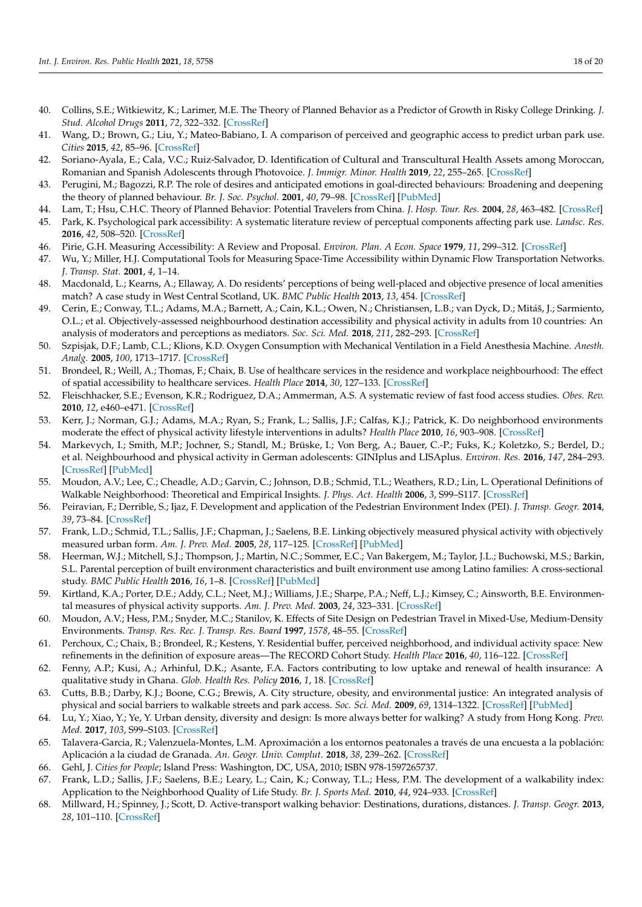- <span id="page-17-0"></span>40. Collins, S.E.; Witkiewitz, K.; Larimer, M.E. The Theory of Planned Behavior as a Predictor of Growth in Risky College Drinking. *J. Stud. Alcohol Drugs* **2011**, *72*, 322–332. [\[CrossRef\]](http://doi.org/10.15288/jsad.2011.72.322)
- <span id="page-17-1"></span>41. Wang, D.; Brown, G.; Liu, Y.; Mateo-Babiano, I. A comparison of perceived and geographic access to predict urban park use. *Cities* **2015**, *42*, 85–96. [\[CrossRef\]](http://doi.org/10.1016/j.cities.2014.10.003)
- <span id="page-17-2"></span>42. Soriano-Ayala, E.; Cala, V.C.; Ruiz-Salvador, D. Identification of Cultural and Transcultural Health Assets among Moroccan, Romanian and Spanish Adolescents through Photovoice. *J. Immigr. Minor. Health* **2019**, *22*, 255–265. [\[CrossRef\]](http://doi.org/10.1007/s10903-019-00934-1)
- <span id="page-17-3"></span>43. Perugini, M.; Bagozzi, R.P. The role of desires and anticipated emotions in goal-directed behaviours: Broadening and deepening the theory of planned behaviour. *Br. J. Soc. Psychol.* **2001**, *40*, 79–98. [\[CrossRef\]](http://doi.org/10.1348/014466601164704) [\[PubMed\]](http://www.ncbi.nlm.nih.gov/pubmed/11329835)
- <span id="page-17-4"></span>44. Lam, T.; Hsu, C.H.C. Theory of Planned Behavior: Potential Travelers from China. *J. Hosp. Tour. Res.* **2004**, *28*, 463–482. [\[CrossRef\]](http://doi.org/10.1177/1096348004267515)
- <span id="page-17-5"></span>45. Park, K. Psychological park accessibility: A systematic literature review of perceptual components affecting park use. *Landsc. Res.* **2016**, *42*, 508–520. [\[CrossRef\]](http://doi.org/10.1080/01426397.2016.1267127)
- <span id="page-17-6"></span>46. Pirie, G.H. Measuring Accessibility: A Review and Proposal. *Environ. Plan. A Econ. Space* **1979**, *11*, 299–312. [\[CrossRef\]](http://doi.org/10.1068/a110299)
- <span id="page-17-7"></span>47. Wu, Y.; Miller, H.J. Computational Tools for Measuring Space-Time Accessibility within Dynamic Flow Transportation Networks. *J. Transp. Stat.* **2001**, *4*, 1–14.
- <span id="page-17-8"></span>48. Macdonald, L.; Kearns, A.; Ellaway, A. Do residents' perceptions of being well-placed and objective presence of local amenities match? A case study in West Central Scotland, UK. *BMC Public Health* **2013**, *13*, 454. [\[CrossRef\]](http://doi.org/10.1186/1471-2458-13-454)
- <span id="page-17-9"></span>49. Cerin, E.; Conway, T.L.; Adams, M.A.; Barnett, A.; Cain, K.L.; Owen, N.; Christiansen, L.B.; van Dyck, D.; Mitáš, J.; Sarmiento, O.L.; et al. Objectively-assessed neighbourhood destination accessibility and physical activity in adults from 10 countries: An analysis of moderators and perceptions as mediators. *Soc. Sci. Med.* **2018**, *211*, 282–293. [\[CrossRef\]](http://doi.org/10.1016/j.socscimed.2018.06.034)
- <span id="page-17-10"></span>50. Szpisjak, D.F.; Lamb, C.L.; Klions, K.D. Oxygen Consumption with Mechanical Ventilation in a Field Anesthesia Machine. *Anesth. Analg.* **2005**, *100*, 1713–1717. [\[CrossRef\]](http://doi.org/10.1213/01.ANE.0000149897.87025.A8)
- <span id="page-17-22"></span>51. Brondeel, R.; Weill, A.; Thomas, F.; Chaix, B. Use of healthcare services in the residence and workplace neighbourhood: The effect of spatial accessibility to healthcare services. *Health Place* **2014**, *30*, 127–133. [\[CrossRef\]](http://doi.org/10.1016/j.healthplace.2014.09.004)
- 52. Fleischhacker, S.E.; Evenson, K.R.; Rodriguez, D.A.; Ammerman, A.S. A systematic review of fast food access studies. *Obes. Rev.* **2010**, *12*, e460–e471. [\[CrossRef\]](http://doi.org/10.1111/j.1467-789X.2010.00715.x)
- <span id="page-17-16"></span>53. Kerr, J.; Norman, G.J.; Adams, M.A.; Ryan, S.; Frank, L.; Sallis, J.F.; Calfas, K.J.; Patrick, K. Do neighborhood environments moderate the effect of physical activity lifestyle interventions in adults? *Health Place* **2010**, *16*, 903–908. [\[CrossRef\]](http://doi.org/10.1016/j.healthplace.2010.05.002)
- 54. Markevych, I.; Smith, M.P.; Jochner, S.; Standl, M.; Brüske, I.; Von Berg, A.; Bauer, C.-P.; Fuks, K.; Koletzko, S.; Berdel, D.; et al. Neighbourhood and physical activity in German adolescents: GINIplus and LISAplus. *Environ. Res.* **2016**, *147*, 284–293. [\[CrossRef\]](http://doi.org/10.1016/j.envres.2016.02.023) [\[PubMed\]](http://www.ncbi.nlm.nih.gov/pubmed/26918842)
- <span id="page-17-17"></span>55. Moudon, A.V.; Lee, C.; Cheadle, A.D.; Garvin, C.; Johnson, D.B.; Schmid, T.L.; Weathers, R.D.; Lin, L. Operational Definitions of Walkable Neighborhood: Theoretical and Empirical Insights. *J. Phys. Act. Health* **2006**, *3*, S99–S117. [\[CrossRef\]](http://doi.org/10.1123/jpah.3.s1.s99)
- <span id="page-17-11"></span>56. Peiravian, F.; Derrible, S.; Ijaz, F. Development and application of the Pedestrian Environment Index (PEI). *J. Transp. Geogr.* **2014**, *39*, 73–84. [\[CrossRef\]](http://doi.org/10.1016/j.jtrangeo.2014.06.020)
- <span id="page-17-12"></span>57. Frank, L.D.; Schmid, T.L.; Sallis, J.F.; Chapman, J.; Saelens, B.E. Linking objectively measured physical activity with objectively measured urban form. *Am. J. Prev. Med.* **2005**, *28*, 117–125. [\[CrossRef\]](http://doi.org/10.1016/j.amepre.2004.11.001) [\[PubMed\]](http://www.ncbi.nlm.nih.gov/pubmed/15694519)
- 58. Heerman, W.J.; Mitchell, S.J.; Thompson, J.; Martin, N.C.; Sommer, E.C.; Van Bakergem, M.; Taylor, J.L.; Buchowski, M.S.; Barkin, S.L. Parental perception of built environment characteristics and built environment use among Latino families: A cross-sectional study. *BMC Public Health* **2016**, *16*, 1–8. [\[CrossRef\]](http://doi.org/10.1186/s12889-016-3854-7) [\[PubMed\]](http://www.ncbi.nlm.nih.gov/pubmed/27876038)
- 59. Kirtland, K.A.; Porter, D.E.; Addy, C.L.; Neet, M.J.; Williams, J.E.; Sharpe, P.A.; Neff, L.J.; Kimsey, C.; Ainsworth, B.E. Environmental measures of physical activity supports. *Am. J. Prev. Med.* **2003**, *24*, 323–331. [\[CrossRef\]](http://doi.org/10.1016/S0749-3797(03)00021-7)
- <span id="page-17-13"></span>60. Moudon, A.V.; Hess, P.M.; Snyder, M.C.; Stanilov, K. Effects of Site Design on Pedestrian Travel in Mixed-Use, Medium-Density Environments. *Transp. Res. Rec. J. Transp. Res. Board* **1997**, *1578*, 48–55. [\[CrossRef\]](http://doi.org/10.3141/1578-07)
- <span id="page-17-14"></span>61. Perchoux, C.; Chaix, B.; Brondeel, R.; Kestens, Y. Residential buffer, perceived neighborhood, and individual activity space: New refinements in the definition of exposure areas—The RECORD Cohort Study. *Health Place* **2016**, *40*, 116–122. [\[CrossRef\]](http://doi.org/10.1016/j.healthplace.2016.05.004)
- <span id="page-17-15"></span>62. Fenny, A.P.; Kusi, A.; Arhinful, D.K.; Asante, F.A. Factors contributing to low uptake and renewal of health insurance: A qualitative study in Ghana. *Glob. Health Res. Policy* **2016**, *1*, 18. [\[CrossRef\]](http://doi.org/10.1186/s41256-016-0018-3)
- <span id="page-17-18"></span>63. Cutts, B.B.; Darby, K.J.; Boone, C.G.; Brewis, A. City structure, obesity, and environmental justice: An integrated analysis of physical and social barriers to walkable streets and park access. *Soc. Sci. Med.* **2009**, *69*, 1314–1322. [\[CrossRef\]](http://doi.org/10.1016/j.socscimed.2009.08.020) [\[PubMed\]](http://www.ncbi.nlm.nih.gov/pubmed/19751959)
- 64. Lu, Y.; Xiao, Y.; Ye, Y. Urban density, diversity and design: Is more always better for walking? A study from Hong Kong. *Prev. Med.* **2017**, *103*, S99–S103. [\[CrossRef\]](http://doi.org/10.1016/j.ypmed.2016.08.042)
- <span id="page-17-19"></span>65. Talavera-Garcia, R.; Valenzuela-Montes, L.M. Aproximación a los entornos peatonales a través de una encuesta a la población: Aplicación a la ciudad de Granada. *An. Geogr. Univ. Complut.* **2018**, *38*, 239–262. [\[CrossRef\]](http://doi.org/10.5209/AGUC.60475)
- <span id="page-17-20"></span>66. Gehl, J. *Cities for People*; Island Press: Washington, DC, USA, 2010; ISBN 978-1597265737.
- 67. Frank, L.D.; Sallis, J.F.; Saelens, B.E.; Leary, L.; Cain, K.; Conway, T.L.; Hess, P.M. The development of a walkability index: Application to the Neighborhood Quality of Life Study. *Br. J. Sports Med.* **2010**, *44*, 924–933. [\[CrossRef\]](http://doi.org/10.1136/bjsm.2009.058701)
- <span id="page-17-21"></span>68. Millward, H.; Spinney, J.; Scott, D. Active-transport walking behavior: Destinations, durations, distances. *J. Transp. Geogr.* **2013**, *28*, 101–110. [\[CrossRef\]](http://doi.org/10.1016/j.jtrangeo.2012.11.012)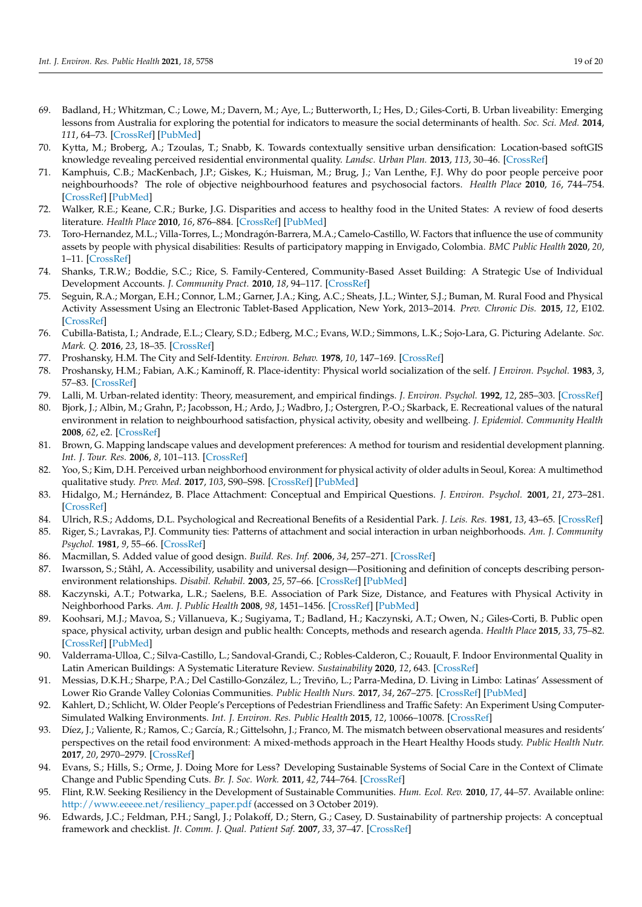- <span id="page-18-0"></span>69. Badland, H.; Whitzman, C.; Lowe, M.; Davern, M.; Aye, L.; Butterworth, I.; Hes, D.; Giles-Corti, B. Urban liveability: Emerging lessons from Australia for exploring the potential for indicators to measure the social determinants of health. *Soc. Sci. Med.* **2014**, *111*, 64–73. [\[CrossRef\]](http://doi.org/10.1016/j.socscimed.2014.04.003) [\[PubMed\]](http://www.ncbi.nlm.nih.gov/pubmed/24762261)
- <span id="page-18-9"></span>70. Kytta, M.; Broberg, A.; Tzoulas, T.; Snabb, K. Towards contextually sensitive urban densification: Location-based softGIS knowledge revealing perceived residential environmental quality. *Landsc. Urban Plan.* **2013**, *113*, 30–46. [\[CrossRef\]](http://doi.org/10.1016/j.landurbplan.2013.01.008)
- 71. Kamphuis, C.B.; MacKenbach, J.P.; Giskes, K.; Huisman, M.; Brug, J.; Van Lenthe, F.J. Why do poor people perceive poor neighbourhoods? The role of objective neighbourhood features and psychosocial factors. *Health Place* **2010**, *16*, 744–754. [\[CrossRef\]](http://doi.org/10.1016/j.healthplace.2010.03.006) [\[PubMed\]](http://www.ncbi.nlm.nih.gov/pubmed/20382555)
- <span id="page-18-1"></span>72. Walker, R.E.; Keane, C.R.; Burke, J.G. Disparities and access to healthy food in the United States: A review of food deserts literature. *Health Place* **2010**, *16*, 876–884. [\[CrossRef\]](http://doi.org/10.1016/j.healthplace.2010.04.013) [\[PubMed\]](http://www.ncbi.nlm.nih.gov/pubmed/20462784)
- <span id="page-18-2"></span>73. Toro-Hernandez, M.L.; Villa-Torres, L.; Mondragón-Barrera, M.A.; Camelo-Castillo, W. Factors that influence the use of community assets by people with physical disabilities: Results of participatory mapping in Envigado, Colombia. *BMC Public Health* **2020**, *20*, 1–11. [\[CrossRef\]](http://doi.org/10.1186/s12889-020-8285-9)
- <span id="page-18-3"></span>74. Shanks, T.R.W.; Boddie, S.C.; Rice, S. Family-Centered, Community-Based Asset Building: A Strategic Use of Individual Development Accounts. *J. Community Pract.* **2010**, *18*, 94–117. [\[CrossRef\]](http://doi.org/10.1080/10705421003766735)
- <span id="page-18-4"></span>75. Seguin, R.A.; Morgan, E.H.; Connor, L.M.; Garner, J.A.; King, A.C.; Sheats, J.L.; Winter, S.J.; Buman, M. Rural Food and Physical Activity Assessment Using an Electronic Tablet-Based Application, New York, 2013–2014. *Prev. Chronic Dis.* **2015**, *12*, E102. [\[CrossRef\]](http://doi.org/10.5888/pcd12.150147)
- <span id="page-18-5"></span>76. Cubilla-Batista, I.; Andrade, E.L.; Cleary, S.D.; Edberg, M.C.; Evans, W.D.; Simmons, L.K.; Sojo-Lara, G. Picturing Adelante. *Soc. Mark. Q.* **2016**, *23*, 18–35. [\[CrossRef\]](http://doi.org/10.1177/1524500416656586)
- <span id="page-18-6"></span>77. Proshansky, H.M. The City and Self-Identity. *Environ. Behav.* **1978**, *10*, 147–169. [\[CrossRef\]](http://doi.org/10.1177/0013916578102002)
- <span id="page-18-7"></span>78. Proshansky, H.M.; Fabian, A.K.; Kaminoff, R. Place-identity: Physical world socialization of the self. *J Environ. Psychol.* **1983**, *3*, 57–83. [\[CrossRef\]](http://doi.org/10.1016/S0272-4944(83)80021-8)
- <span id="page-18-8"></span>79. Lalli, M. Urban-related identity: Theory, measurement, and empirical findings. *J. Environ. Psychol.* **1992**, *12*, 285–303. [\[CrossRef\]](http://doi.org/10.1016/S0272-4944(05)80078-7)
- <span id="page-18-10"></span>80. Bjork, J.; Albin, M.; Grahn, P.; Jacobsson, H.; Ardo, J.; Wadbro, J.; Ostergren, P.-O.; Skarback, E. Recreational values of the natural environment in relation to neighbourhood satisfaction, physical activity, obesity and wellbeing. *J. Epidemiol. Community Health* **2008**, *62*, e2. [\[CrossRef\]](http://doi.org/10.1136/jech.2007.062414)
- <span id="page-18-25"></span>81. Brown, G. Mapping landscape values and development preferences: A method for tourism and residential development planning. *Int. J. Tour. Res.* **2006**, *8*, 101–113. [\[CrossRef\]](http://doi.org/10.1002/jtr.562)
- <span id="page-18-11"></span>82. Yoo, S.; Kim, D.H. Perceived urban neighborhood environment for physical activity of older adults in Seoul, Korea: A multimethod qualitative study. *Prev. Med.* **2017**, *103*, S90–S98. [\[CrossRef\]](http://doi.org/10.1016/j.ypmed.2016.12.033) [\[PubMed\]](http://www.ncbi.nlm.nih.gov/pubmed/28024862)
- <span id="page-18-12"></span>83. Hidalgo, M.; Hernández, B. Place Attachment: Conceptual and Empirical Questions. *J. Environ. Psychol.* **2001**, *21*, 273–281. [\[CrossRef\]](http://doi.org/10.1006/jevp.2001.0221)
- <span id="page-18-13"></span>84. Ulrich, R.S.; Addoms, D.L. Psychological and Recreational Benefits of a Residential Park. *J. Leis. Res.* **1981**, *13*, 43–65. [\[CrossRef\]](http://doi.org/10.1080/00222216.1981.11969466)
- <span id="page-18-14"></span>85. Riger, S.; Lavrakas, P.J. Community ties: Patterns of attachment and social interaction in urban neighborhoods. *Am. J. Community Psychol.* **1981**, *9*, 55–66. [\[CrossRef\]](http://doi.org/10.1007/BF00896360)
- <span id="page-18-15"></span>86. Macmillan, S. Added value of good design. *Build. Res. Inf.* **2006**, *34*, 257–271. [\[CrossRef\]](http://doi.org/10.1080/09613210600590074)
- <span id="page-18-16"></span>87. Iwarsson, S.; Ståhl, A. Accessibility, usability and universal design—Positioning and definition of concepts describing personenvironment relationships. *Disabil. Rehabil.* **2003**, *25*, 57–66. [\[CrossRef\]](http://doi.org/10.1080/dre.25.2.57.66) [\[PubMed\]](http://www.ncbi.nlm.nih.gov/pubmed/12554380)
- 88. Kaczynski, A.T.; Potwarka, L.R.; Saelens, B.E. Association of Park Size, Distance, and Features with Physical Activity in Neighborhood Parks. *Am. J. Public Health* **2008**, *98*, 1451–1456. [\[CrossRef\]](http://doi.org/10.2105/AJPH.2007.129064) [\[PubMed\]](http://www.ncbi.nlm.nih.gov/pubmed/18556600)
- <span id="page-18-17"></span>89. Koohsari, M.J.; Mavoa, S.; Villanueva, K.; Sugiyama, T.; Badland, H.; Kaczynski, A.T.; Owen, N.; Giles-Corti, B. Public open space, physical activity, urban design and public health: Concepts, methods and research agenda. *Health Place* **2015**, *33*, 75–82. [\[CrossRef\]](http://doi.org/10.1016/j.healthplace.2015.02.009) [\[PubMed\]](http://www.ncbi.nlm.nih.gov/pubmed/25779691)
- <span id="page-18-18"></span>90. Valderrama-Ulloa, C.; Silva-Castillo, L.; Sandoval-Grandi, C.; Robles-Calderon, C.; Rouault, F. Indoor Environmental Quality in Latin American Buildings: A Systematic Literature Review. *Sustainability* **2020**, *12*, 643. [\[CrossRef\]](http://doi.org/10.3390/su12020643)
- <span id="page-18-19"></span>91. Messias, D.K.H.; Sharpe, P.A.; Del Castillo-González, L.; Treviño, L.; Parra-Medina, D. Living in Limbo: Latinas' Assessment of Lower Rio Grande Valley Colonias Communities. *Public Health Nurs.* **2017**, *34*, 267–275. [\[CrossRef\]](http://doi.org/10.1111/phn.12307) [\[PubMed\]](http://www.ncbi.nlm.nih.gov/pubmed/27921331)
- <span id="page-18-20"></span>92. Kahlert, D.; Schlicht, W. Older People's Perceptions of Pedestrian Friendliness and Traffic Safety: An Experiment Using Computer-Simulated Walking Environments. *Int. J. Environ. Res. Public Health* **2015**, *12*, 10066–10078. [\[CrossRef\]](http://doi.org/10.3390/ijerph120810066)
- <span id="page-18-21"></span>93. Díez, J.; Valiente, R.; Ramos, C.; García, R.; Gittelsohn, J.; Franco, M. The mismatch between observational measures and residents' perspectives on the retail food environment: A mixed-methods approach in the Heart Healthy Hoods study. *Public Health Nutr.* **2017**, *20*, 2970–2979. [\[CrossRef\]](http://doi.org/10.1017/S1368980017001604)
- <span id="page-18-22"></span>94. Evans, S.; Hills, S.; Orme, J. Doing More for Less? Developing Sustainable Systems of Social Care in the Context of Climate Change and Public Spending Cuts. *Br. J. Soc. Work.* **2011**, *42*, 744–764. [\[CrossRef\]](http://doi.org/10.1093/bjsw/bcr108)
- <span id="page-18-23"></span>95. Flint, R.W. Seeking Resiliency in the Development of Sustainable Communities. *Hum. Ecol. Rev.* **2010**, *17*, 44–57. Available online: [http://www.eeeee.net/resiliency\\_paper.pdf](http://www.eeeee.net/resiliency_paper.pdf) (accessed on 3 October 2019).
- <span id="page-18-24"></span>96. Edwards, J.C.; Feldman, P.H.; Sangl, J.; Polakoff, D.; Stern, G.; Casey, D. Sustainability of partnership projects: A conceptual framework and checklist. *Jt. Comm. J. Qual. Patient Saf.* **2007**, *33*, 37–47. [\[CrossRef\]](http://doi.org/10.1016/S1553-7250(07)33122-X)